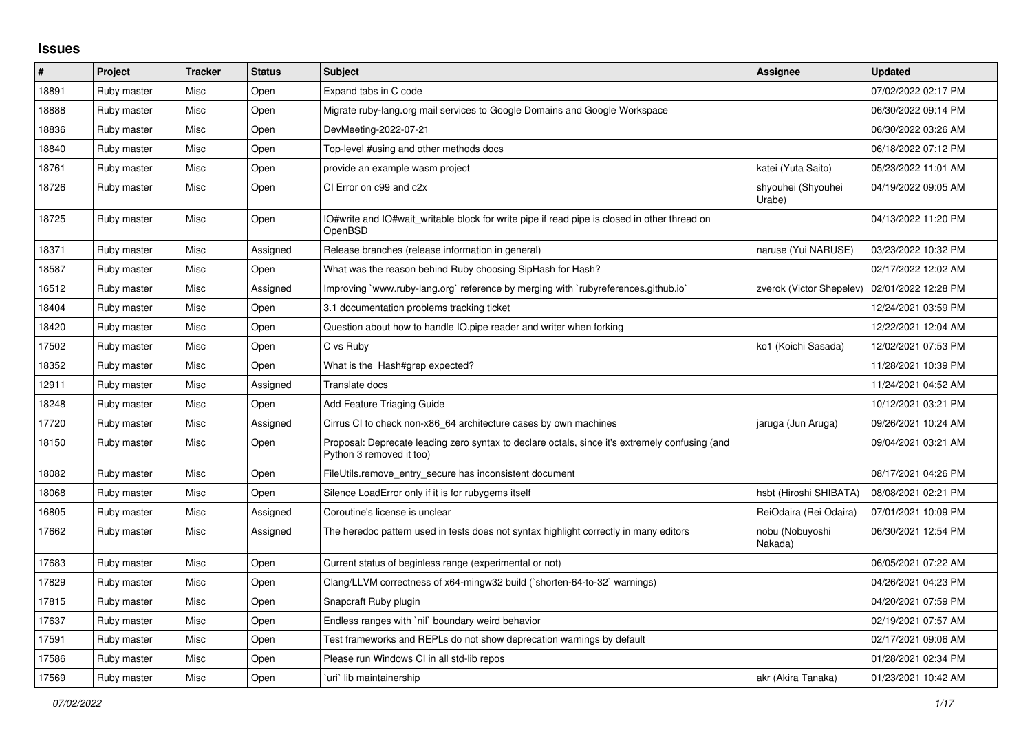## **Issues**

| $\sharp$ | Project     | <b>Tracker</b> | <b>Status</b> | <b>Subject</b>                                                                                                             | Assignee                     | <b>Updated</b>      |
|----------|-------------|----------------|---------------|----------------------------------------------------------------------------------------------------------------------------|------------------------------|---------------------|
| 18891    | Ruby master | Misc           | Open          | Expand tabs in C code                                                                                                      |                              | 07/02/2022 02:17 PM |
| 18888    | Ruby master | Misc           | Open          | Migrate ruby-lang.org mail services to Google Domains and Google Workspace                                                 |                              | 06/30/2022 09:14 PM |
| 18836    | Ruby master | Misc           | Open          | DevMeeting-2022-07-21                                                                                                      |                              | 06/30/2022 03:26 AM |
| 18840    | Ruby master | Misc           | Open          | Top-level #using and other methods docs                                                                                    |                              | 06/18/2022 07:12 PM |
| 18761    | Ruby master | Misc           | Open          | provide an example wasm project                                                                                            | katei (Yuta Saito)           | 05/23/2022 11:01 AM |
| 18726    | Ruby master | Misc           | Open          | CI Error on c99 and c2x                                                                                                    | shyouhei (Shyouhei<br>Urabe) | 04/19/2022 09:05 AM |
| 18725    | Ruby master | Misc           | Open          | IO#write and IO#wait writable block for write pipe if read pipe is closed in other thread on<br>OpenBSD                    |                              | 04/13/2022 11:20 PM |
| 18371    | Ruby master | Misc           | Assigned      | Release branches (release information in general)                                                                          | naruse (Yui NARUSE)          | 03/23/2022 10:32 PM |
| 18587    | Ruby master | Misc           | Open          | What was the reason behind Ruby choosing SipHash for Hash?                                                                 |                              | 02/17/2022 12:02 AM |
| 16512    | Ruby master | Misc           | Assigned      | Improving `www.ruby-lang.org` reference by merging with `rubyreferences.github.io`                                         | zverok (Victor Shepelev)     | 02/01/2022 12:28 PM |
| 18404    | Ruby master | Misc           | Open          | 3.1 documentation problems tracking ticket                                                                                 |                              | 12/24/2021 03:59 PM |
| 18420    | Ruby master | Misc           | Open          | Question about how to handle IO.pipe reader and writer when forking                                                        |                              | 12/22/2021 12:04 AM |
| 17502    | Ruby master | Misc           | Open          | C vs Ruby                                                                                                                  | ko1 (Koichi Sasada)          | 12/02/2021 07:53 PM |
| 18352    | Ruby master | Misc           | Open          | What is the Hash#grep expected?                                                                                            |                              | 11/28/2021 10:39 PM |
| 12911    | Ruby master | Misc           | Assigned      | Translate docs                                                                                                             |                              | 11/24/2021 04:52 AM |
| 18248    | Ruby master | Misc           | Open          | Add Feature Triaging Guide                                                                                                 |                              | 10/12/2021 03:21 PM |
| 17720    | Ruby master | Misc           | Assigned      | Cirrus CI to check non-x86_64 architecture cases by own machines                                                           | jaruga (Jun Aruga)           | 09/26/2021 10:24 AM |
| 18150    | Ruby master | Misc           | Open          | Proposal: Deprecate leading zero syntax to declare octals, since it's extremely confusing (and<br>Python 3 removed it too) |                              | 09/04/2021 03:21 AM |
| 18082    | Ruby master | Misc           | Open          | FileUtils.remove entry secure has inconsistent document                                                                    |                              | 08/17/2021 04:26 PM |
| 18068    | Ruby master | Misc           | Open          | Silence LoadError only if it is for rubygems itself                                                                        | hsbt (Hiroshi SHIBATA)       | 08/08/2021 02:21 PM |
| 16805    | Ruby master | Misc           | Assigned      | Coroutine's license is unclear                                                                                             | ReiOdaira (Rei Odaira)       | 07/01/2021 10:09 PM |
| 17662    | Ruby master | Misc           | Assigned      | The heredoc pattern used in tests does not syntax highlight correctly in many editors                                      | nobu (Nobuyoshi<br>Nakada)   | 06/30/2021 12:54 PM |
| 17683    | Ruby master | Misc           | Open          | Current status of beginless range (experimental or not)                                                                    |                              | 06/05/2021 07:22 AM |
| 17829    | Ruby master | Misc           | Open          | Clang/LLVM correctness of x64-mingw32 build (`shorten-64-to-32` warnings)                                                  |                              | 04/26/2021 04:23 PM |
| 17815    | Ruby master | Misc           | Open          | Snapcraft Ruby plugin                                                                                                      |                              | 04/20/2021 07:59 PM |
| 17637    | Ruby master | Misc           | Open          | Endless ranges with `nil` boundary weird behavior                                                                          |                              | 02/19/2021 07:57 AM |
| 17591    | Ruby master | Misc           | Open          | Test frameworks and REPLs do not show deprecation warnings by default                                                      |                              | 02/17/2021 09:06 AM |
| 17586    | Ruby master | Misc           | Open          | Please run Windows CI in all std-lib repos                                                                                 |                              | 01/28/2021 02:34 PM |
| 17569    | Ruby master | Misc           | Open          | uri lib maintainership                                                                                                     | akr (Akira Tanaka)           | 01/23/2021 10:42 AM |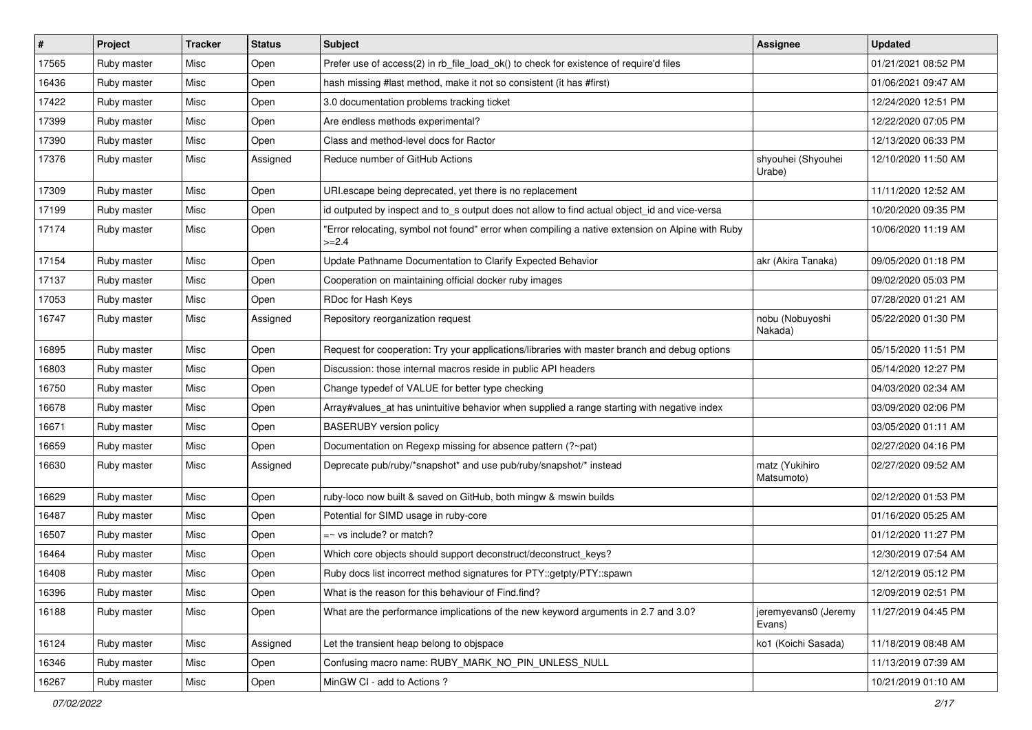| $\vert$ # | Project     | <b>Tracker</b> | <b>Status</b> | Subject                                                                                                     | Assignee                       | <b>Updated</b>      |
|-----------|-------------|----------------|---------------|-------------------------------------------------------------------------------------------------------------|--------------------------------|---------------------|
| 17565     | Ruby master | Misc           | Open          | Prefer use of access(2) in rb_file_load_ok() to check for existence of require'd files                      |                                | 01/21/2021 08:52 PM |
| 16436     | Ruby master | Misc           | Open          | hash missing #last method, make it not so consistent (it has #first)                                        |                                | 01/06/2021 09:47 AM |
| 17422     | Ruby master | Misc           | Open          | 3.0 documentation problems tracking ticket                                                                  |                                | 12/24/2020 12:51 PM |
| 17399     | Ruby master | Misc           | Open          | Are endless methods experimental?                                                                           |                                | 12/22/2020 07:05 PM |
| 17390     | Ruby master | Misc           | Open          | Class and method-level docs for Ractor                                                                      |                                | 12/13/2020 06:33 PM |
| 17376     | Ruby master | Misc           | Assigned      | Reduce number of GitHub Actions                                                                             | shyouhei (Shyouhei<br>Urabe)   | 12/10/2020 11:50 AM |
| 17309     | Ruby master | Misc           | Open          | URI.escape being deprecated, yet there is no replacement                                                    |                                | 11/11/2020 12:52 AM |
| 17199     | Ruby master | Misc           | Open          | id outputed by inspect and to_s output does not allow to find actual object_id and vice-versa               |                                | 10/20/2020 09:35 PM |
| 17174     | Ruby master | Misc           | Open          | 'Error relocating, symbol not found" error when compiling a native extension on Alpine with Ruby<br>$>=2.4$ |                                | 10/06/2020 11:19 AM |
| 17154     | Ruby master | Misc           | Open          | Update Pathname Documentation to Clarify Expected Behavior                                                  | akr (Akira Tanaka)             | 09/05/2020 01:18 PM |
| 17137     | Ruby master | Misc           | Open          | Cooperation on maintaining official docker ruby images                                                      |                                | 09/02/2020 05:03 PM |
| 17053     | Ruby master | Misc           | Open          | RDoc for Hash Keys                                                                                          |                                | 07/28/2020 01:21 AM |
| 16747     | Ruby master | Misc           | Assigned      | Repository reorganization request                                                                           | nobu (Nobuyoshi<br>Nakada)     | 05/22/2020 01:30 PM |
| 16895     | Ruby master | Misc           | Open          | Request for cooperation: Try your applications/libraries with master branch and debug options               |                                | 05/15/2020 11:51 PM |
| 16803     | Ruby master | Misc           | Open          | Discussion: those internal macros reside in public API headers                                              |                                | 05/14/2020 12:27 PM |
| 16750     | Ruby master | Misc           | Open          | Change typedef of VALUE for better type checking                                                            |                                | 04/03/2020 02:34 AM |
| 16678     | Ruby master | Misc           | Open          | Array#values_at has unintuitive behavior when supplied a range starting with negative index                 |                                | 03/09/2020 02:06 PM |
| 16671     | Ruby master | Misc           | Open          | <b>BASERUBY</b> version policy                                                                              |                                | 03/05/2020 01:11 AM |
| 16659     | Ruby master | Misc           | Open          | Documentation on Regexp missing for absence pattern (?~pat)                                                 |                                | 02/27/2020 04:16 PM |
| 16630     | Ruby master | Misc           | Assigned      | Deprecate pub/ruby/*snapshot* and use pub/ruby/snapshot/* instead                                           | matz (Yukihiro<br>Matsumoto)   | 02/27/2020 09:52 AM |
| 16629     | Ruby master | Misc           | Open          | ruby-loco now built & saved on GitHub, both mingw & mswin builds                                            |                                | 02/12/2020 01:53 PM |
| 16487     | Ruby master | Misc           | Open          | Potential for SIMD usage in ruby-core                                                                       |                                | 01/16/2020 05:25 AM |
| 16507     | Ruby master | Misc           | Open          | =~ vs include? or match?                                                                                    |                                | 01/12/2020 11:27 PM |
| 16464     | Ruby master | Misc           | Open          | Which core objects should support deconstruct/deconstruct_keys?                                             |                                | 12/30/2019 07:54 AM |
| 16408     | Ruby master | Misc           | Open          | Ruby docs list incorrect method signatures for PTY::getpty/PTY::spawn                                       |                                | 12/12/2019 05:12 PM |
| 16396     | Ruby master | Misc           | Open          | What is the reason for this behaviour of Find.find?                                                         |                                | 12/09/2019 02:51 PM |
| 16188     | Ruby master | Misc           | Open          | What are the performance implications of the new keyword arguments in 2.7 and 3.0?                          | jeremyevans0 (Jeremy<br>Evans) | 11/27/2019 04:45 PM |
| 16124     | Ruby master | Misc           | Assigned      | Let the transient heap belong to objspace                                                                   | ko1 (Koichi Sasada)            | 11/18/2019 08:48 AM |
| 16346     | Ruby master | Misc           | Open          | Confusing macro name: RUBY_MARK_NO_PIN_UNLESS_NULL                                                          |                                | 11/13/2019 07:39 AM |
| 16267     | Ruby master | Misc           | Open          | MinGW CI - add to Actions ?                                                                                 |                                | 10/21/2019 01:10 AM |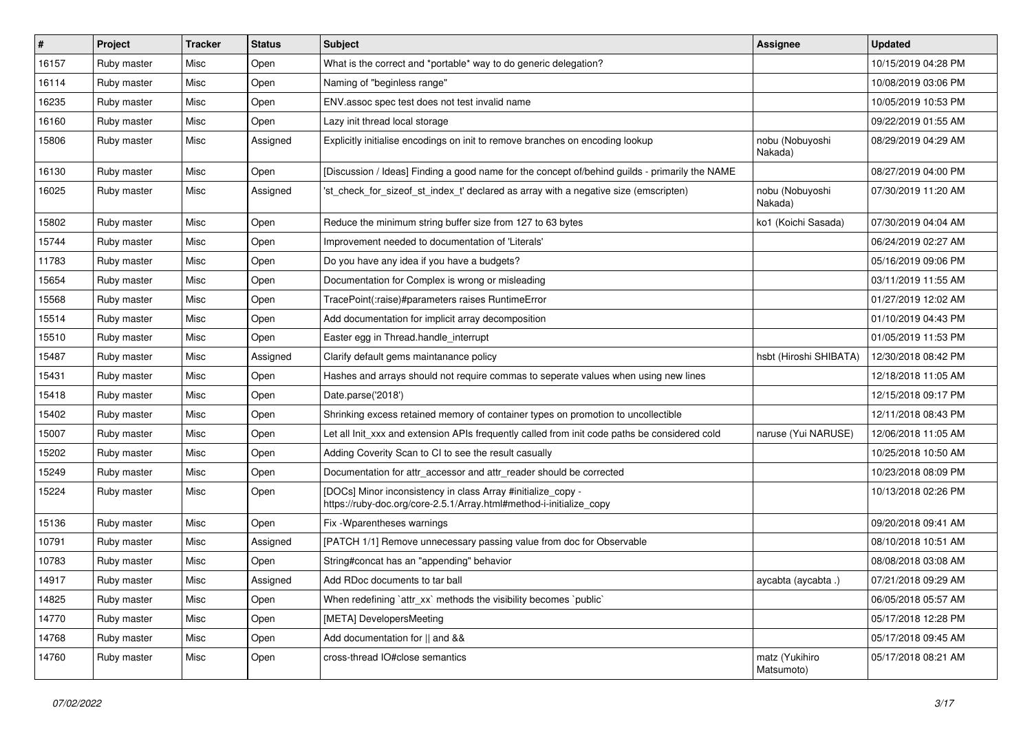| $\sharp$ | Project     | <b>Tracker</b> | <b>Status</b> | <b>Subject</b>                                                                                                                      | Assignee                     | <b>Updated</b>      |
|----------|-------------|----------------|---------------|-------------------------------------------------------------------------------------------------------------------------------------|------------------------------|---------------------|
| 16157    | Ruby master | Misc           | Open          | What is the correct and *portable* way to do generic delegation?                                                                    |                              | 10/15/2019 04:28 PM |
| 16114    | Ruby master | Misc           | Open          | Naming of "beginless range"                                                                                                         |                              | 10/08/2019 03:06 PM |
| 16235    | Ruby master | Misc           | Open          | ENV assoc spec test does not test invalid name                                                                                      |                              | 10/05/2019 10:53 PM |
| 16160    | Ruby master | Misc           | Open          | Lazy init thread local storage                                                                                                      |                              | 09/22/2019 01:55 AM |
| 15806    | Ruby master | Misc           | Assigned      | Explicitly initialise encodings on init to remove branches on encoding lookup                                                       | nobu (Nobuyoshi<br>Nakada)   | 08/29/2019 04:29 AM |
| 16130    | Ruby master | Misc           | Open          | [Discussion / Ideas] Finding a good name for the concept of/behind guilds - primarily the NAME                                      |                              | 08/27/2019 04:00 PM |
| 16025    | Ruby master | Misc           | Assigned      | 'st_check_for_sizeof_st_index_t' declared as array with a negative size (emscripten)                                                | nobu (Nobuyoshi<br>Nakada)   | 07/30/2019 11:20 AM |
| 15802    | Ruby master | Misc           | Open          | Reduce the minimum string buffer size from 127 to 63 bytes                                                                          | ko1 (Koichi Sasada)          | 07/30/2019 04:04 AM |
| 15744    | Ruby master | Misc           | Open          | Improvement needed to documentation of 'Literals'                                                                                   |                              | 06/24/2019 02:27 AM |
| 11783    | Ruby master | Misc           | Open          | Do you have any idea if you have a budgets?                                                                                         |                              | 05/16/2019 09:06 PM |
| 15654    | Ruby master | Misc           | Open          | Documentation for Complex is wrong or misleading                                                                                    |                              | 03/11/2019 11:55 AM |
| 15568    | Ruby master | Misc           | Open          | TracePoint(:raise)#parameters raises RuntimeError                                                                                   |                              | 01/27/2019 12:02 AM |
| 15514    | Ruby master | Misc           | Open          | Add documentation for implicit array decomposition                                                                                  |                              | 01/10/2019 04:43 PM |
| 15510    | Ruby master | Misc           | Open          | Easter egg in Thread.handle_interrupt                                                                                               |                              | 01/05/2019 11:53 PM |
| 15487    | Ruby master | Misc           | Assigned      | Clarify default gems maintanance policy                                                                                             | hsbt (Hiroshi SHIBATA)       | 12/30/2018 08:42 PM |
| 15431    | Ruby master | Misc           | Open          | Hashes and arrays should not require commas to seperate values when using new lines                                                 |                              | 12/18/2018 11:05 AM |
| 15418    | Ruby master | Misc           | Open          | Date.parse('2018')                                                                                                                  |                              | 12/15/2018 09:17 PM |
| 15402    | Ruby master | Misc           | Open          | Shrinking excess retained memory of container types on promotion to uncollectible                                                   |                              | 12/11/2018 08:43 PM |
| 15007    | Ruby master | Misc           | Open          | Let all Init xxx and extension APIs frequently called from init code paths be considered cold                                       | naruse (Yui NARUSE)          | 12/06/2018 11:05 AM |
| 15202    | Ruby master | Misc           | Open          | Adding Coverity Scan to CI to see the result casually                                                                               |                              | 10/25/2018 10:50 AM |
| 15249    | Ruby master | Misc           | Open          | Documentation for attr_accessor and attr_reader should be corrected                                                                 |                              | 10/23/2018 08:09 PM |
| 15224    | Ruby master | Misc           | Open          | [DOCs] Minor inconsistency in class Array #initialize_copy -<br>https://ruby-doc.org/core-2.5.1/Array.html#method-i-initialize_copy |                              | 10/13/2018 02:26 PM |
| 15136    | Ruby master | Misc           | Open          | Fix - Wparentheses warnings                                                                                                         |                              | 09/20/2018 09:41 AM |
| 10791    | Ruby master | Misc           | Assigned      | [PATCH 1/1] Remove unnecessary passing value from doc for Observable                                                                |                              | 08/10/2018 10:51 AM |
| 10783    | Ruby master | Misc           | Open          | String#concat has an "appending" behavior                                                                                           |                              | 08/08/2018 03:08 AM |
| 14917    | Ruby master | Misc           | Assigned      | Add RDoc documents to tar ball                                                                                                      | aycabta (aycabta .)          | 07/21/2018 09:29 AM |
| 14825    | Ruby master | Misc           | Open          | When redefining 'attr_xx' methods the visibility becomes 'public'                                                                   |                              | 06/05/2018 05:57 AM |
| 14770    | Ruby master | Misc           | Open          | [META] DevelopersMeeting                                                                                                            |                              | 05/17/2018 12:28 PM |
| 14768    | Ruby master | Misc           | Open          | Add documentation for    and &&                                                                                                     |                              | 05/17/2018 09:45 AM |
| 14760    | Ruby master | Misc           | Open          | cross-thread IO#close semantics                                                                                                     | matz (Yukihiro<br>Matsumoto) | 05/17/2018 08:21 AM |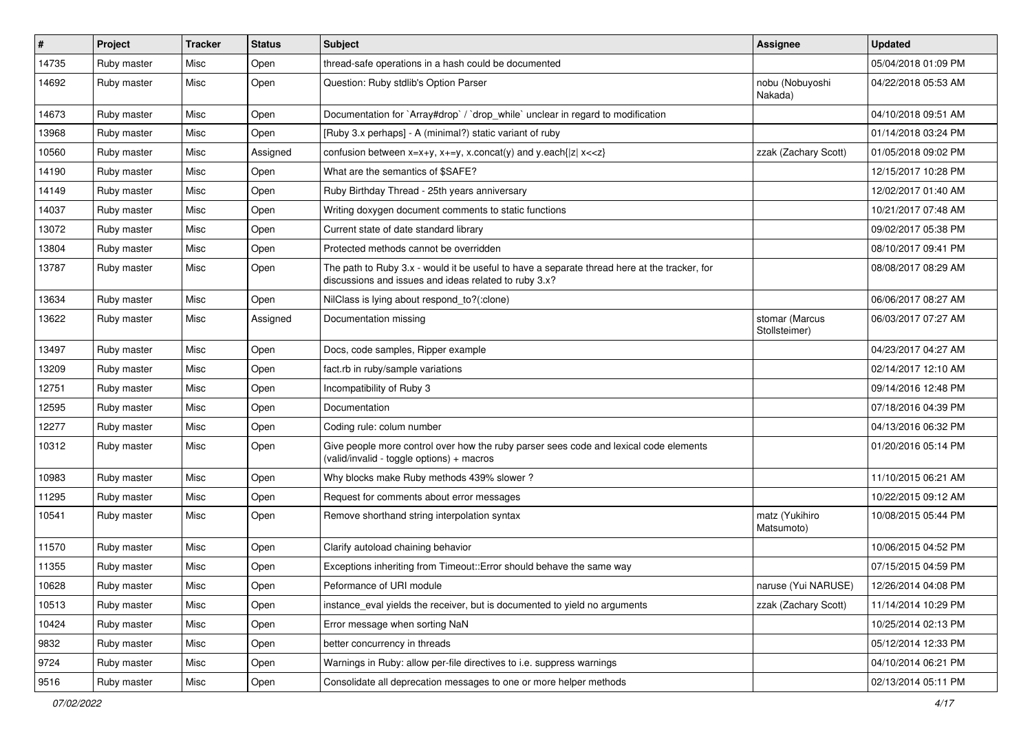| #     | Project     | <b>Tracker</b> | <b>Status</b> | <b>Subject</b>                                                                                                                                        | <b>Assignee</b>                 | <b>Updated</b>      |
|-------|-------------|----------------|---------------|-------------------------------------------------------------------------------------------------------------------------------------------------------|---------------------------------|---------------------|
| 14735 | Ruby master | Misc           | Open          | thread-safe operations in a hash could be documented                                                                                                  |                                 | 05/04/2018 01:09 PM |
| 14692 | Ruby master | Misc           | Open          | Question: Ruby stdlib's Option Parser                                                                                                                 | nobu (Nobuyoshi<br>Nakada)      | 04/22/2018 05:53 AM |
| 14673 | Ruby master | Misc           | Open          | Documentation for `Array#drop` / `drop_while` unclear in regard to modification                                                                       |                                 | 04/10/2018 09:51 AM |
| 13968 | Ruby master | Misc           | Open          | [Ruby 3.x perhaps] - A (minimal?) static variant of ruby                                                                                              |                                 | 01/14/2018 03:24 PM |
| 10560 | Ruby master | Misc           | Assigned      | confusion between $x=x+y$ , $x+=y$ , x.concat(y) and y.each{ z  $x<}$                                                                                 | zzak (Zachary Scott)            | 01/05/2018 09:02 PM |
| 14190 | Ruby master | Misc           | Open          | What are the semantics of \$SAFE?                                                                                                                     |                                 | 12/15/2017 10:28 PM |
| 14149 | Ruby master | Misc           | Open          | Ruby Birthday Thread - 25th years anniversary                                                                                                         |                                 | 12/02/2017 01:40 AM |
| 14037 | Ruby master | Misc           | Open          | Writing doxygen document comments to static functions                                                                                                 |                                 | 10/21/2017 07:48 AM |
| 13072 | Ruby master | Misc           | Open          | Current state of date standard library                                                                                                                |                                 | 09/02/2017 05:38 PM |
| 13804 | Ruby master | Misc           | Open          | Protected methods cannot be overridden                                                                                                                |                                 | 08/10/2017 09:41 PM |
| 13787 | Ruby master | Misc           | Open          | The path to Ruby 3.x - would it be useful to have a separate thread here at the tracker, for<br>discussions and issues and ideas related to ruby 3.x? |                                 | 08/08/2017 08:29 AM |
| 13634 | Ruby master | Misc           | Open          | NilClass is lying about respond to?(:clone)                                                                                                           |                                 | 06/06/2017 08:27 AM |
| 13622 | Ruby master | Misc           | Assigned      | Documentation missing                                                                                                                                 | stomar (Marcus<br>Stollsteimer) | 06/03/2017 07:27 AM |
| 13497 | Ruby master | Misc           | Open          | Docs, code samples, Ripper example                                                                                                                    |                                 | 04/23/2017 04:27 AM |
| 13209 | Ruby master | Misc           | Open          | fact.rb in ruby/sample variations                                                                                                                     |                                 | 02/14/2017 12:10 AM |
| 12751 | Ruby master | Misc           | Open          | Incompatibility of Ruby 3                                                                                                                             |                                 | 09/14/2016 12:48 PM |
| 12595 | Ruby master | Misc           | Open          | Documentation                                                                                                                                         |                                 | 07/18/2016 04:39 PM |
| 12277 | Ruby master | Misc           | Open          | Coding rule: colum number                                                                                                                             |                                 | 04/13/2016 06:32 PM |
| 10312 | Ruby master | Misc           | Open          | Give people more control over how the ruby parser sees code and lexical code elements<br>(valid/invalid - toggle options) + macros                    |                                 | 01/20/2016 05:14 PM |
| 10983 | Ruby master | Misc           | Open          | Why blocks make Ruby methods 439% slower?                                                                                                             |                                 | 11/10/2015 06:21 AM |
| 11295 | Ruby master | Misc           | Open          | Request for comments about error messages                                                                                                             |                                 | 10/22/2015 09:12 AM |
| 10541 | Ruby master | Misc           | Open          | Remove shorthand string interpolation syntax                                                                                                          | matz (Yukihiro<br>Matsumoto)    | 10/08/2015 05:44 PM |
| 11570 | Ruby master | Misc           | Open          | Clarify autoload chaining behavior                                                                                                                    |                                 | 10/06/2015 04:52 PM |
| 11355 | Ruby master | Misc           | Open          | Exceptions inheriting from Timeout:: Error should behave the same way                                                                                 |                                 | 07/15/2015 04:59 PM |
| 10628 | Ruby master | Misc           | Open          | Peformance of URI module                                                                                                                              | naruse (Yui NARUSE)             | 12/26/2014 04:08 PM |
| 10513 | Ruby master | Misc           | Open          | instance_eval yields the receiver, but is documented to yield no arguments                                                                            | zzak (Zachary Scott)            | 11/14/2014 10:29 PM |
| 10424 | Ruby master | Misc           | Open          | Error message when sorting NaN                                                                                                                        |                                 | 10/25/2014 02:13 PM |
| 9832  | Ruby master | Misc           | Open          | better concurrency in threads                                                                                                                         |                                 | 05/12/2014 12:33 PM |
| 9724  | Ruby master | Misc           | Open          | Warnings in Ruby: allow per-file directives to i.e. suppress warnings                                                                                 |                                 | 04/10/2014 06:21 PM |
| 9516  | Ruby master | Misc           | Open          | Consolidate all deprecation messages to one or more helper methods                                                                                    |                                 | 02/13/2014 05:11 PM |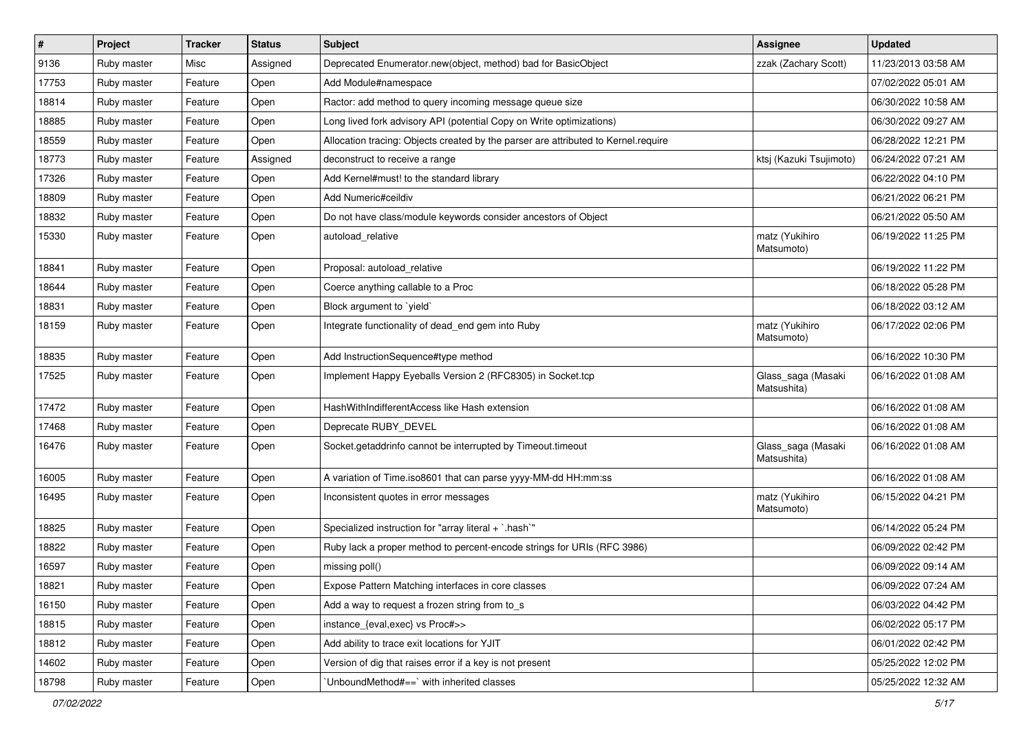| $\vert$ # | Project     | <b>Tracker</b> | <b>Status</b> | <b>Subject</b>                                                                     | <b>Assignee</b>                   | <b>Updated</b>      |
|-----------|-------------|----------------|---------------|------------------------------------------------------------------------------------|-----------------------------------|---------------------|
| 9136      | Ruby master | Misc           | Assigned      | Deprecated Enumerator.new(object, method) bad for BasicObject                      | zzak (Zachary Scott)              | 11/23/2013 03:58 AM |
| 17753     | Ruby master | Feature        | Open          | Add Module#namespace                                                               |                                   | 07/02/2022 05:01 AM |
| 18814     | Ruby master | Feature        | Open          | Ractor: add method to query incoming message queue size                            |                                   | 06/30/2022 10:58 AM |
| 18885     | Ruby master | Feature        | Open          | Long lived fork advisory API (potential Copy on Write optimizations)               |                                   | 06/30/2022 09:27 AM |
| 18559     | Ruby master | Feature        | Open          | Allocation tracing: Objects created by the parser are attributed to Kernel.require |                                   | 06/28/2022 12:21 PM |
| 18773     | Ruby master | Feature        | Assigned      | deconstruct to receive a range                                                     | ktsj (Kazuki Tsujimoto)           | 06/24/2022 07:21 AM |
| 17326     | Ruby master | Feature        | Open          | Add Kernel#must! to the standard library                                           |                                   | 06/22/2022 04:10 PM |
| 18809     | Ruby master | Feature        | Open          | Add Numeric#ceildiv                                                                |                                   | 06/21/2022 06:21 PM |
| 18832     | Ruby master | Feature        | Open          | Do not have class/module keywords consider ancestors of Object                     |                                   | 06/21/2022 05:50 AM |
| 15330     | Ruby master | Feature        | Open          | autoload relative                                                                  | matz (Yukihiro<br>Matsumoto)      | 06/19/2022 11:25 PM |
| 18841     | Ruby master | Feature        | Open          | Proposal: autoload_relative                                                        |                                   | 06/19/2022 11:22 PM |
| 18644     | Ruby master | Feature        | Open          | Coerce anything callable to a Proc                                                 |                                   | 06/18/2022 05:28 PM |
| 18831     | Ruby master | Feature        | Open          | Block argument to 'yield'                                                          |                                   | 06/18/2022 03:12 AM |
| 18159     | Ruby master | Feature        | Open          | Integrate functionality of dead_end gem into Ruby                                  | matz (Yukihiro<br>Matsumoto)      | 06/17/2022 02:06 PM |
| 18835     | Ruby master | Feature        | Open          | Add InstructionSequence#type method                                                |                                   | 06/16/2022 10:30 PM |
| 17525     | Ruby master | Feature        | Open          | Implement Happy Eyeballs Version 2 (RFC8305) in Socket.tcp                         | Glass_saga (Masaki<br>Matsushita) | 06/16/2022 01:08 AM |
| 17472     | Ruby master | Feature        | Open          | HashWithIndifferentAccess like Hash extension                                      |                                   | 06/16/2022 01:08 AM |
| 17468     | Ruby master | Feature        | Open          | Deprecate RUBY_DEVEL                                                               |                                   | 06/16/2022 01:08 AM |
| 16476     | Ruby master | Feature        | Open          | Socket.getaddrinfo cannot be interrupted by Timeout.timeout                        | Glass_saga (Masaki<br>Matsushita) | 06/16/2022 01:08 AM |
| 16005     | Ruby master | Feature        | Open          | A variation of Time.iso8601 that can parse yyyy-MM-dd HH:mm:ss                     |                                   | 06/16/2022 01:08 AM |
| 16495     | Ruby master | Feature        | Open          | Inconsistent quotes in error messages                                              | matz (Yukihiro<br>Matsumoto)      | 06/15/2022 04:21 PM |
| 18825     | Ruby master | Feature        | Open          | Specialized instruction for "array literal + `.hash`"                              |                                   | 06/14/2022 05:24 PM |
| 18822     | Ruby master | Feature        | Open          | Ruby lack a proper method to percent-encode strings for URIs (RFC 3986)            |                                   | 06/09/2022 02:42 PM |
| 16597     | Ruby master | Feature        | Open          | missing poll()                                                                     |                                   | 06/09/2022 09:14 AM |
| 18821     | Ruby master | Feature        | Open          | Expose Pattern Matching interfaces in core classes                                 |                                   | 06/09/2022 07:24 AM |
| 16150     | Ruby master | Feature        | Open          | Add a way to request a frozen string from to_s                                     |                                   | 06/03/2022 04:42 PM |
| 18815     | Ruby master | Feature        | Open          | instance {eval, exec} vs Proc#>>                                                   |                                   | 06/02/2022 05:17 PM |
| 18812     | Ruby master | Feature        | Open          | Add ability to trace exit locations for YJIT                                       |                                   | 06/01/2022 02:42 PM |
| 14602     | Ruby master | Feature        | Open          | Version of dig that raises error if a key is not present                           |                                   | 05/25/2022 12:02 PM |
| 18798     | Ruby master | Feature        | Open          | UnboundMethod#==`with inherited classes                                            |                                   | 05/25/2022 12:32 AM |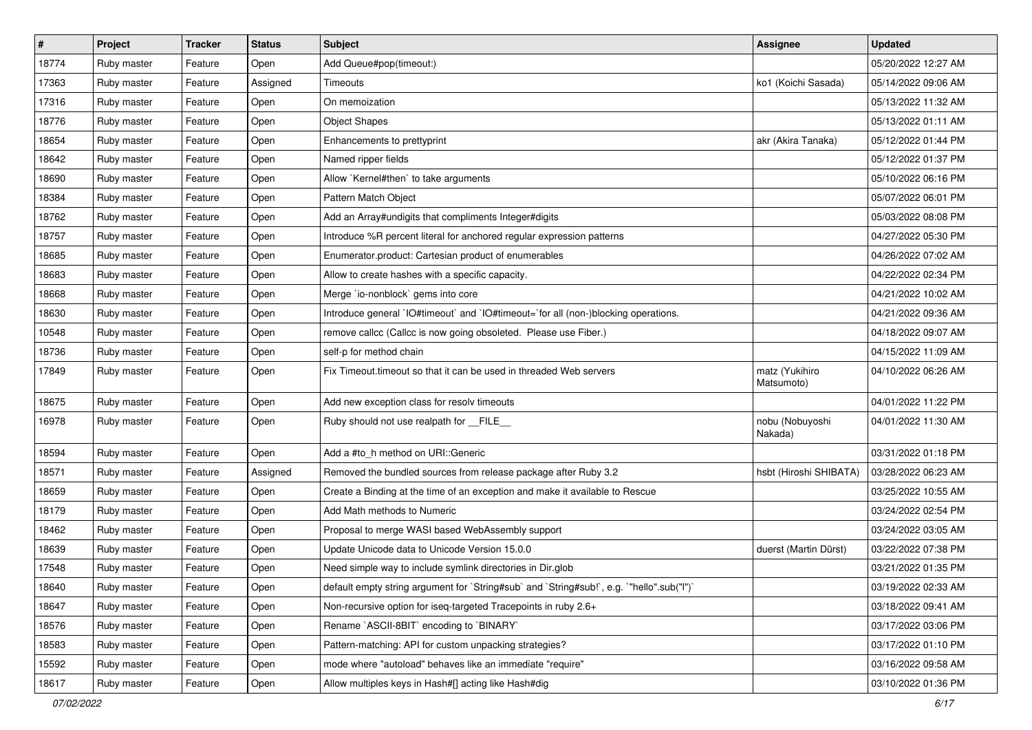| $\vert$ # | Project     | <b>Tracker</b> | <b>Status</b> | <b>Subject</b>                                                                            | <b>Assignee</b>              | <b>Updated</b>      |
|-----------|-------------|----------------|---------------|-------------------------------------------------------------------------------------------|------------------------------|---------------------|
| 18774     | Ruby master | Feature        | Open          | Add Queue#pop(timeout:)                                                                   |                              | 05/20/2022 12:27 AM |
| 17363     | Ruby master | Feature        | Assigned      | Timeouts                                                                                  | ko1 (Koichi Sasada)          | 05/14/2022 09:06 AM |
| 17316     | Ruby master | Feature        | Open          | On memoization                                                                            |                              | 05/13/2022 11:32 AM |
| 18776     | Ruby master | Feature        | Open          | <b>Object Shapes</b>                                                                      |                              | 05/13/2022 01:11 AM |
| 18654     | Ruby master | Feature        | Open          | Enhancements to prettyprint                                                               | akr (Akira Tanaka)           | 05/12/2022 01:44 PM |
| 18642     | Ruby master | Feature        | Open          | Named ripper fields                                                                       |                              | 05/12/2022 01:37 PM |
| 18690     | Ruby master | Feature        | Open          | Allow `Kernel#then` to take arguments                                                     |                              | 05/10/2022 06:16 PM |
| 18384     | Ruby master | Feature        | Open          | Pattern Match Object                                                                      |                              | 05/07/2022 06:01 PM |
| 18762     | Ruby master | Feature        | Open          | Add an Array#undigits that compliments Integer#digits                                     |                              | 05/03/2022 08:08 PM |
| 18757     | Ruby master | Feature        | Open          | Introduce %R percent literal for anchored regular expression patterns                     |                              | 04/27/2022 05:30 PM |
| 18685     | Ruby master | Feature        | Open          | Enumerator.product: Cartesian product of enumerables                                      |                              | 04/26/2022 07:02 AM |
| 18683     | Ruby master | Feature        | Open          | Allow to create hashes with a specific capacity.                                          |                              | 04/22/2022 02:34 PM |
| 18668     | Ruby master | Feature        | Open          | Merge `io-nonblock` gems into core                                                        |                              | 04/21/2022 10:02 AM |
| 18630     | Ruby master | Feature        | Open          | Introduce general `IO#timeout` and `IO#timeout=`for all (non-)blocking operations.        |                              | 04/21/2022 09:36 AM |
| 10548     | Ruby master | Feature        | Open          | remove callcc (Callcc is now going obsoleted. Please use Fiber.)                          |                              | 04/18/2022 09:07 AM |
| 18736     | Ruby master | Feature        | Open          | self-p for method chain                                                                   |                              | 04/15/2022 11:09 AM |
| 17849     | Ruby master | Feature        | Open          | Fix Timeout.timeout so that it can be used in threaded Web servers                        | matz (Yukihiro<br>Matsumoto) | 04/10/2022 06:26 AM |
| 18675     | Ruby master | Feature        | Open          | Add new exception class for resolv timeouts                                               |                              | 04/01/2022 11:22 PM |
| 16978     | Ruby master | Feature        | Open          | Ruby should not use realpath for __FILE_                                                  | nobu (Nobuyoshi<br>Nakada)   | 04/01/2022 11:30 AM |
| 18594     | Ruby master | Feature        | Open          | Add a #to_h method on URI::Generic                                                        |                              | 03/31/2022 01:18 PM |
| 18571     | Ruby master | Feature        | Assigned      | Removed the bundled sources from release package after Ruby 3.2                           | hsbt (Hiroshi SHIBATA)       | 03/28/2022 06:23 AM |
| 18659     | Ruby master | Feature        | Open          | Create a Binding at the time of an exception and make it available to Rescue              |                              | 03/25/2022 10:55 AM |
| 18179     | Ruby master | Feature        | Open          | Add Math methods to Numeric                                                               |                              | 03/24/2022 02:54 PM |
| 18462     | Ruby master | Feature        | Open          | Proposal to merge WASI based WebAssembly support                                          |                              | 03/24/2022 03:05 AM |
| 18639     | Ruby master | Feature        | Open          | Update Unicode data to Unicode Version 15.0.0                                             | duerst (Martin Dürst)        | 03/22/2022 07:38 PM |
| 17548     | Ruby master | Feature        | Open          | Need simple way to include symlink directories in Dir.glob                                |                              | 03/21/2022 01:35 PM |
| 18640     | Ruby master | Feature        | Open          | default empty string argument for `String#sub` and `String#sub!`, e.g. `"hello".sub("I")` |                              | 03/19/2022 02:33 AM |
| 18647     | Ruby master | Feature        | Open          | Non-recursive option for iseq-targeted Tracepoints in ruby 2.6+                           |                              | 03/18/2022 09:41 AM |
| 18576     | Ruby master | Feature        | Open          | Rename `ASCII-8BIT` encoding to `BINARY`                                                  |                              | 03/17/2022 03:06 PM |
| 18583     | Ruby master | Feature        | Open          | Pattern-matching: API for custom unpacking strategies?                                    |                              | 03/17/2022 01:10 PM |
| 15592     | Ruby master | Feature        | Open          | mode where "autoload" behaves like an immediate "require"                                 |                              | 03/16/2022 09:58 AM |
| 18617     | Ruby master | Feature        | Open          | Allow multiples keys in Hash#[] acting like Hash#dig                                      |                              | 03/10/2022 01:36 PM |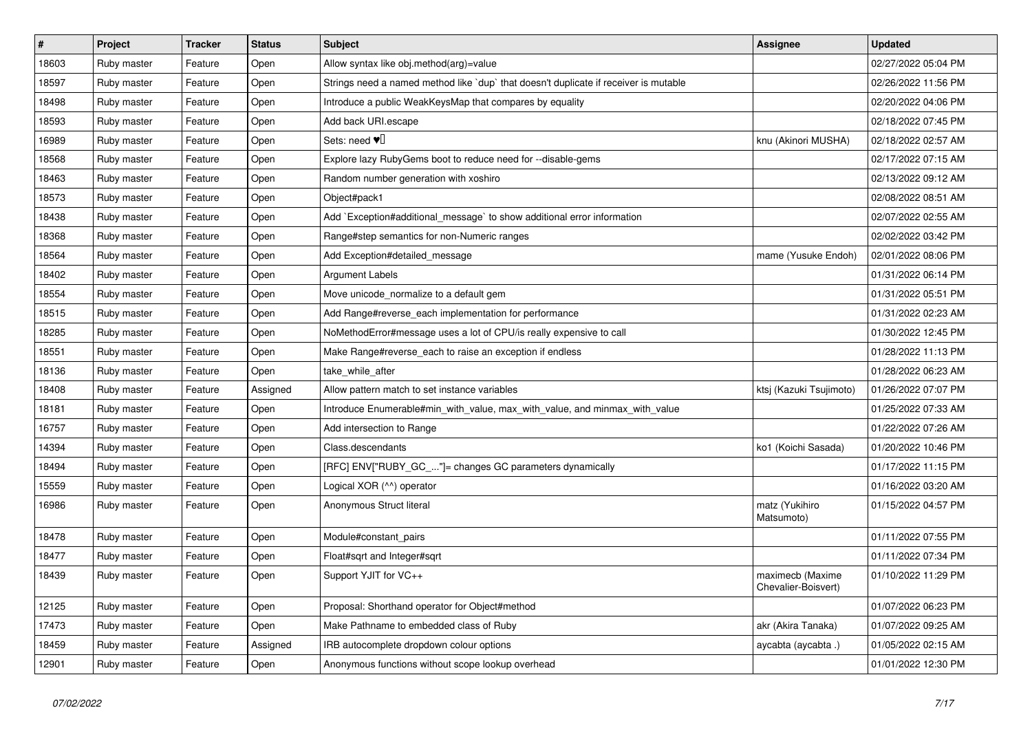| $\vert$ # | Project     | <b>Tracker</b> | <b>Status</b> | <b>Subject</b>                                                                       | <b>Assignee</b>                         | <b>Updated</b>      |
|-----------|-------------|----------------|---------------|--------------------------------------------------------------------------------------|-----------------------------------------|---------------------|
| 18603     | Ruby master | Feature        | Open          | Allow syntax like obj.method(arg)=value                                              |                                         | 02/27/2022 05:04 PM |
| 18597     | Ruby master | Feature        | Open          | Strings need a named method like `dup` that doesn't duplicate if receiver is mutable |                                         | 02/26/2022 11:56 PM |
| 18498     | Ruby master | Feature        | Open          | Introduce a public WeakKeysMap that compares by equality                             |                                         | 02/20/2022 04:06 PM |
| 18593     | Ruby master | Feature        | Open          | Add back URI.escape                                                                  |                                         | 02/18/2022 07:45 PM |
| 16989     | Ruby master | Feature        | Open          | Sets: need $\Psi$ .                                                                  | knu (Akinori MUSHA)                     | 02/18/2022 02:57 AM |
| 18568     | Ruby master | Feature        | Open          | Explore lazy RubyGems boot to reduce need for --disable-gems                         |                                         | 02/17/2022 07:15 AM |
| 18463     | Ruby master | Feature        | Open          | Random number generation with xoshiro                                                |                                         | 02/13/2022 09:12 AM |
| 18573     | Ruby master | Feature        | Open          | Object#pack1                                                                         |                                         | 02/08/2022 08:51 AM |
| 18438     | Ruby master | Feature        | Open          | Add `Exception#additional_message` to show additional error information              |                                         | 02/07/2022 02:55 AM |
| 18368     | Ruby master | Feature        | Open          | Range#step semantics for non-Numeric ranges                                          |                                         | 02/02/2022 03:42 PM |
| 18564     | Ruby master | Feature        | Open          | Add Exception#detailed_message                                                       | mame (Yusuke Endoh)                     | 02/01/2022 08:06 PM |
| 18402     | Ruby master | Feature        | Open          | Argument Labels                                                                      |                                         | 01/31/2022 06:14 PM |
| 18554     | Ruby master | Feature        | Open          | Move unicode normalize to a default gem                                              |                                         | 01/31/2022 05:51 PM |
| 18515     | Ruby master | Feature        | Open          | Add Range#reverse each implementation for performance                                |                                         | 01/31/2022 02:23 AM |
| 18285     | Ruby master | Feature        | Open          | NoMethodError#message uses a lot of CPU/is really expensive to call                  |                                         | 01/30/2022 12:45 PM |
| 18551     | Ruby master | Feature        | Open          | Make Range#reverse_each to raise an exception if endless                             |                                         | 01/28/2022 11:13 PM |
| 18136     | Ruby master | Feature        | Open          | take while after                                                                     |                                         | 01/28/2022 06:23 AM |
| 18408     | Ruby master | Feature        | Assigned      | Allow pattern match to set instance variables                                        | ktsj (Kazuki Tsujimoto)                 | 01/26/2022 07:07 PM |
| 18181     | Ruby master | Feature        | Open          | Introduce Enumerable#min_with_value, max_with_value, and minmax_with_value           |                                         | 01/25/2022 07:33 AM |
| 16757     | Ruby master | Feature        | Open          | Add intersection to Range                                                            |                                         | 01/22/2022 07:26 AM |
| 14394     | Ruby master | Feature        | Open          | Class.descendants                                                                    | ko1 (Koichi Sasada)                     | 01/20/2022 10:46 PM |
| 18494     | Ruby master | Feature        | Open          | [RFC] ENV["RUBY_GC_"]= changes GC parameters dynamically                             |                                         | 01/17/2022 11:15 PM |
| 15559     | Ruby master | Feature        | Open          | Logical XOR (^^) operator                                                            |                                         | 01/16/2022 03:20 AM |
| 16986     | Ruby master | Feature        | Open          | Anonymous Struct literal                                                             | matz (Yukihiro<br>Matsumoto)            | 01/15/2022 04:57 PM |
| 18478     | Ruby master | Feature        | Open          | Module#constant_pairs                                                                |                                         | 01/11/2022 07:55 PM |
| 18477     | Ruby master | Feature        | Open          | Float#sqrt and Integer#sqrt                                                          |                                         | 01/11/2022 07:34 PM |
| 18439     | Ruby master | Feature        | Open          | Support YJIT for VC++                                                                | maximecb (Maxime<br>Chevalier-Boisvert) | 01/10/2022 11:29 PM |
| 12125     | Ruby master | Feature        | Open          | Proposal: Shorthand operator for Object#method                                       |                                         | 01/07/2022 06:23 PM |
| 17473     | Ruby master | Feature        | Open          | Make Pathname to embedded class of Ruby                                              | akr (Akira Tanaka)                      | 01/07/2022 09:25 AM |
| 18459     | Ruby master | Feature        | Assigned      | IRB autocomplete dropdown colour options                                             | aycabta (aycabta .)                     | 01/05/2022 02:15 AM |
| 12901     | Ruby master | Feature        | Open          | Anonymous functions without scope lookup overhead                                    |                                         | 01/01/2022 12:30 PM |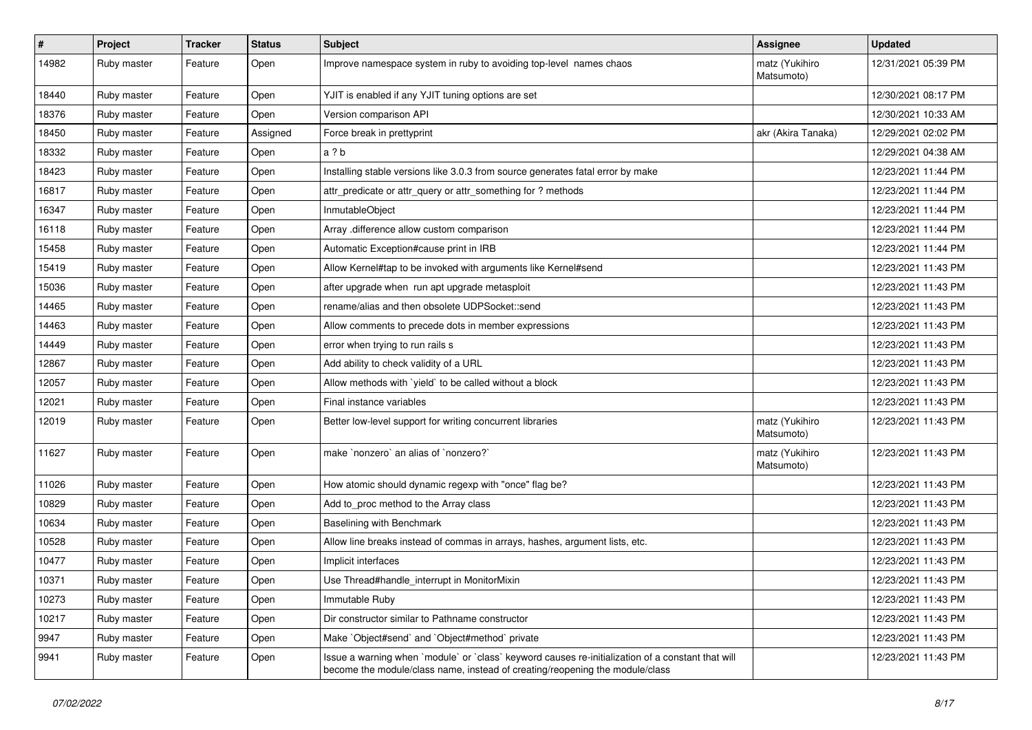| $\sharp$ | Project     | <b>Tracker</b> | <b>Status</b> | <b>Subject</b>                                                                                                                                                                    | <b>Assignee</b>              | <b>Updated</b>      |
|----------|-------------|----------------|---------------|-----------------------------------------------------------------------------------------------------------------------------------------------------------------------------------|------------------------------|---------------------|
| 14982    | Ruby master | Feature        | Open          | Improve namespace system in ruby to avoiding top-level names chaos                                                                                                                | matz (Yukihiro<br>Matsumoto) | 12/31/2021 05:39 PM |
| 18440    | Ruby master | Feature        | Open          | YJIT is enabled if any YJIT tuning options are set                                                                                                                                |                              | 12/30/2021 08:17 PM |
| 18376    | Ruby master | Feature        | Open          | Version comparison API                                                                                                                                                            |                              | 12/30/2021 10:33 AM |
| 18450    | Ruby master | Feature        | Assigned      | Force break in prettyprint                                                                                                                                                        | akr (Akira Tanaka)           | 12/29/2021 02:02 PM |
| 18332    | Ruby master | Feature        | Open          | a ? b                                                                                                                                                                             |                              | 12/29/2021 04:38 AM |
| 18423    | Ruby master | Feature        | Open          | Installing stable versions like 3.0.3 from source generates fatal error by make                                                                                                   |                              | 12/23/2021 11:44 PM |
| 16817    | Ruby master | Feature        | Open          | attr_predicate or attr_query or attr_something for ? methods                                                                                                                      |                              | 12/23/2021 11:44 PM |
| 16347    | Ruby master | Feature        | Open          | InmutableObject                                                                                                                                                                   |                              | 12/23/2021 11:44 PM |
| 16118    | Ruby master | Feature        | Open          | Array .difference allow custom comparison                                                                                                                                         |                              | 12/23/2021 11:44 PM |
| 15458    | Ruby master | Feature        | Open          | Automatic Exception#cause print in IRB                                                                                                                                            |                              | 12/23/2021 11:44 PM |
| 15419    | Ruby master | Feature        | Open          | Allow Kernel#tap to be invoked with arguments like Kernel#send                                                                                                                    |                              | 12/23/2021 11:43 PM |
| 15036    | Ruby master | Feature        | Open          | after upgrade when run apt upgrade metasploit                                                                                                                                     |                              | 12/23/2021 11:43 PM |
| 14465    | Ruby master | Feature        | Open          | rename/alias and then obsolete UDPSocket::send                                                                                                                                    |                              | 12/23/2021 11:43 PM |
| 14463    | Ruby master | Feature        | Open          | Allow comments to precede dots in member expressions                                                                                                                              |                              | 12/23/2021 11:43 PM |
| 14449    | Ruby master | Feature        | Open          | error when trying to run rails s                                                                                                                                                  |                              | 12/23/2021 11:43 PM |
| 12867    | Ruby master | Feature        | Open          | Add ability to check validity of a URL                                                                                                                                            |                              | 12/23/2021 11:43 PM |
| 12057    | Ruby master | Feature        | Open          | Allow methods with `yield` to be called without a block                                                                                                                           |                              | 12/23/2021 11:43 PM |
| 12021    | Ruby master | Feature        | Open          | Final instance variables                                                                                                                                                          |                              | 12/23/2021 11:43 PM |
| 12019    | Ruby master | Feature        | Open          | Better low-level support for writing concurrent libraries                                                                                                                         | matz (Yukihiro<br>Matsumoto) | 12/23/2021 11:43 PM |
| 11627    | Ruby master | Feature        | Open          | make `nonzero` an alias of `nonzero?`                                                                                                                                             | matz (Yukihiro<br>Matsumoto) | 12/23/2021 11:43 PM |
| 11026    | Ruby master | Feature        | Open          | How atomic should dynamic regexp with "once" flag be?                                                                                                                             |                              | 12/23/2021 11:43 PM |
| 10829    | Ruby master | Feature        | Open          | Add to_proc method to the Array class                                                                                                                                             |                              | 12/23/2021 11:43 PM |
| 10634    | Ruby master | Feature        | Open          | Baselining with Benchmark                                                                                                                                                         |                              | 12/23/2021 11:43 PM |
| 10528    | Ruby master | Feature        | Open          | Allow line breaks instead of commas in arrays, hashes, argument lists, etc.                                                                                                       |                              | 12/23/2021 11:43 PM |
| 10477    | Ruby master | Feature        | Open          | Implicit interfaces                                                                                                                                                               |                              | 12/23/2021 11:43 PM |
| 10371    | Ruby master | Feature        | Open          | Use Thread#handle_interrupt in MonitorMixin                                                                                                                                       |                              | 12/23/2021 11:43 PM |
| 10273    | Ruby master | Feature        | Open          | Immutable Ruby                                                                                                                                                                    |                              | 12/23/2021 11:43 PM |
| 10217    | Ruby master | Feature        | Open          | Dir constructor similar to Pathname constructor                                                                                                                                   |                              | 12/23/2021 11:43 PM |
| 9947     | Ruby master | Feature        | Open          | Make `Object#send` and `Object#method` private                                                                                                                                    |                              | 12/23/2021 11:43 PM |
| 9941     | Ruby master | Feature        | Open          | Issue a warning when `module` or `class` keyword causes re-initialization of a constant that will<br>become the module/class name, instead of creating/reopening the module/class |                              | 12/23/2021 11:43 PM |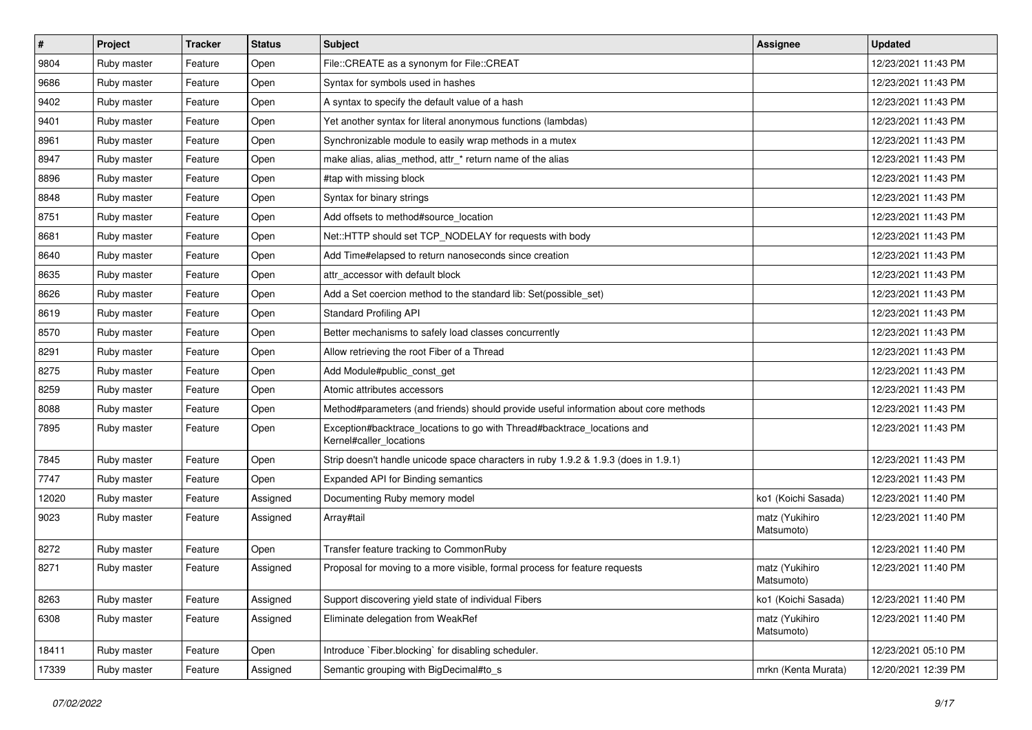| $\vert$ # | Project     | <b>Tracker</b> | <b>Status</b> | Subject                                                                                            | <b>Assignee</b>              | <b>Updated</b>      |
|-----------|-------------|----------------|---------------|----------------------------------------------------------------------------------------------------|------------------------------|---------------------|
| 9804      | Ruby master | Feature        | Open          | File::CREATE as a synonym for File::CREAT                                                          |                              | 12/23/2021 11:43 PM |
| 9686      | Ruby master | Feature        | Open          | Syntax for symbols used in hashes                                                                  |                              | 12/23/2021 11:43 PM |
| 9402      | Ruby master | Feature        | Open          | A syntax to specify the default value of a hash                                                    |                              | 12/23/2021 11:43 PM |
| 9401      | Ruby master | Feature        | Open          | Yet another syntax for literal anonymous functions (lambdas)                                       |                              | 12/23/2021 11:43 PM |
| 8961      | Ruby master | Feature        | Open          | Synchronizable module to easily wrap methods in a mutex                                            |                              | 12/23/2021 11:43 PM |
| 8947      | Ruby master | Feature        | Open          | make alias, alias_method, attr_* return name of the alias                                          |                              | 12/23/2021 11:43 PM |
| 8896      | Ruby master | Feature        | Open          | #tap with missing block                                                                            |                              | 12/23/2021 11:43 PM |
| 8848      | Ruby master | Feature        | Open          | Syntax for binary strings                                                                          |                              | 12/23/2021 11:43 PM |
| 8751      | Ruby master | Feature        | Open          | Add offsets to method#source location                                                              |                              | 12/23/2021 11:43 PM |
| 8681      | Ruby master | Feature        | Open          | Net::HTTP should set TCP_NODELAY for requests with body                                            |                              | 12/23/2021 11:43 PM |
| 8640      | Ruby master | Feature        | Open          | Add Time#elapsed to return nanoseconds since creation                                              |                              | 12/23/2021 11:43 PM |
| 8635      | Ruby master | Feature        | Open          | attr_accessor with default block                                                                   |                              | 12/23/2021 11:43 PM |
| 8626      | Ruby master | Feature        | Open          | Add a Set coercion method to the standard lib: Set(possible_set)                                   |                              | 12/23/2021 11:43 PM |
| 8619      | Ruby master | Feature        | Open          | <b>Standard Profiling API</b>                                                                      |                              | 12/23/2021 11:43 PM |
| 8570      | Ruby master | Feature        | Open          | Better mechanisms to safely load classes concurrently                                              |                              | 12/23/2021 11:43 PM |
| 8291      | Ruby master | Feature        | Open          | Allow retrieving the root Fiber of a Thread                                                        |                              | 12/23/2021 11:43 PM |
| 8275      | Ruby master | Feature        | Open          | Add Module#public_const_get                                                                        |                              | 12/23/2021 11:43 PM |
| 8259      | Ruby master | Feature        | Open          | Atomic attributes accessors                                                                        |                              | 12/23/2021 11:43 PM |
| 8088      | Ruby master | Feature        | Open          | Method#parameters (and friends) should provide useful information about core methods               |                              | 12/23/2021 11:43 PM |
| 7895      | Ruby master | Feature        | Open          | Exception#backtrace_locations to go with Thread#backtrace_locations and<br>Kernel#caller_locations |                              | 12/23/2021 11:43 PM |
| 7845      | Ruby master | Feature        | Open          | Strip doesn't handle unicode space characters in ruby 1.9.2 & 1.9.3 (does in 1.9.1)                |                              | 12/23/2021 11:43 PM |
| 7747      | Ruby master | Feature        | Open          | Expanded API for Binding semantics                                                                 |                              | 12/23/2021 11:43 PM |
| 12020     | Ruby master | Feature        | Assigned      | Documenting Ruby memory model                                                                      | ko1 (Koichi Sasada)          | 12/23/2021 11:40 PM |
| 9023      | Ruby master | Feature        | Assigned      | Array#tail                                                                                         | matz (Yukihiro<br>Matsumoto) | 12/23/2021 11:40 PM |
| 8272      | Ruby master | Feature        | Open          | Transfer feature tracking to CommonRuby                                                            |                              | 12/23/2021 11:40 PM |
| 8271      | Ruby master | Feature        | Assigned      | Proposal for moving to a more visible, formal process for feature requests                         | matz (Yukihiro<br>Matsumoto) | 12/23/2021 11:40 PM |
| 8263      | Ruby master | Feature        | Assigned      | Support discovering yield state of individual Fibers                                               | ko1 (Koichi Sasada)          | 12/23/2021 11:40 PM |
| 6308      | Ruby master | Feature        | Assigned      | Eliminate delegation from WeakRef                                                                  | matz (Yukihiro<br>Matsumoto) | 12/23/2021 11:40 PM |
| 18411     | Ruby master | Feature        | Open          | Introduce `Fiber.blocking` for disabling scheduler.                                                |                              | 12/23/2021 05:10 PM |
| 17339     | Ruby master | Feature        | Assigned      | Semantic grouping with BigDecimal#to_s                                                             | mrkn (Kenta Murata)          | 12/20/2021 12:39 PM |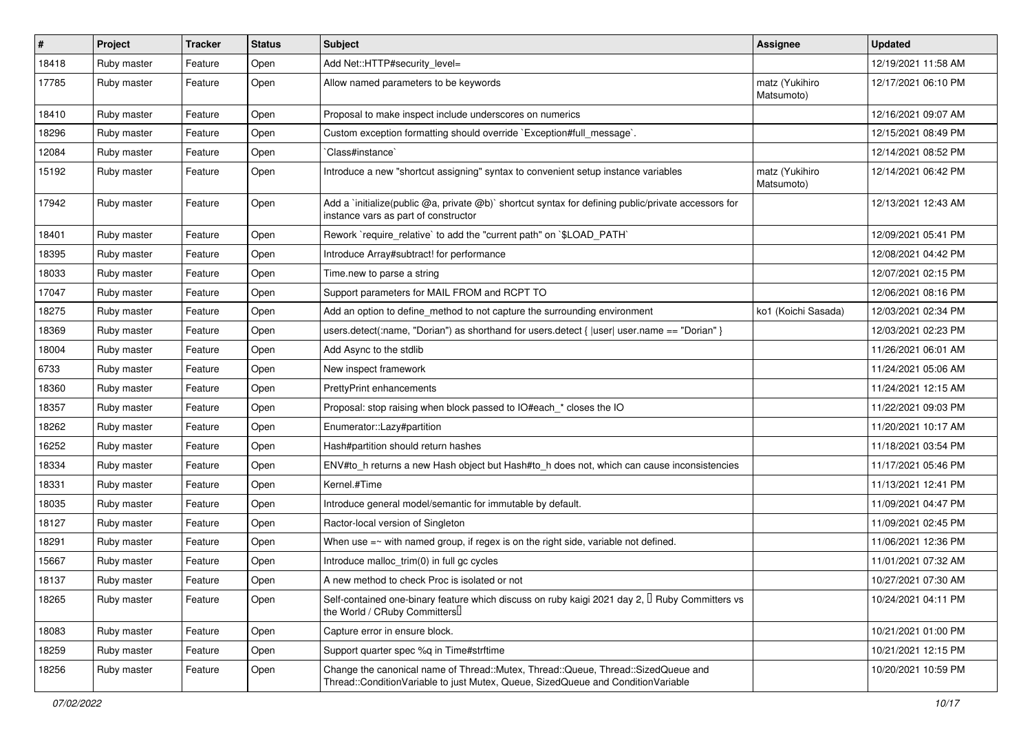| $\vert$ # | Project     | <b>Tracker</b> | <b>Status</b> | <b>Subject</b>                                                                                                                                                        | <b>Assignee</b>              | <b>Updated</b>      |
|-----------|-------------|----------------|---------------|-----------------------------------------------------------------------------------------------------------------------------------------------------------------------|------------------------------|---------------------|
| 18418     | Ruby master | Feature        | Open          | Add Net::HTTP#security_level=                                                                                                                                         |                              | 12/19/2021 11:58 AM |
| 17785     | Ruby master | Feature        | Open          | Allow named parameters to be keywords                                                                                                                                 | matz (Yukihiro<br>Matsumoto) | 12/17/2021 06:10 PM |
| 18410     | Ruby master | Feature        | Open          | Proposal to make inspect include underscores on numerics                                                                                                              |                              | 12/16/2021 09:07 AM |
| 18296     | Ruby master | Feature        | Open          | Custom exception formatting should override `Exception#full_message`.                                                                                                 |                              | 12/15/2021 08:49 PM |
| 12084     | Ruby master | Feature        | Open          | Class#instance`                                                                                                                                                       |                              | 12/14/2021 08:52 PM |
| 15192     | Ruby master | Feature        | Open          | Introduce a new "shortcut assigning" syntax to convenient setup instance variables                                                                                    | matz (Yukihiro<br>Matsumoto) | 12/14/2021 06:42 PM |
| 17942     | Ruby master | Feature        | Open          | Add a `initialize(public @a, private @b)` shortcut syntax for defining public/private accessors for<br>instance vars as part of constructor                           |                              | 12/13/2021 12:43 AM |
| 18401     | Ruby master | Feature        | Open          | Rework `require_relative` to add the "current path" on `\$LOAD_PATH`                                                                                                  |                              | 12/09/2021 05:41 PM |
| 18395     | Ruby master | Feature        | Open          | Introduce Array#subtract! for performance                                                                                                                             |                              | 12/08/2021 04:42 PM |
| 18033     | Ruby master | Feature        | Open          | Time.new to parse a string                                                                                                                                            |                              | 12/07/2021 02:15 PM |
| 17047     | Ruby master | Feature        | Open          | Support parameters for MAIL FROM and RCPT TO                                                                                                                          |                              | 12/06/2021 08:16 PM |
| 18275     | Ruby master | Feature        | Open          | Add an option to define method to not capture the surrounding environment                                                                                             | ko1 (Koichi Sasada)          | 12/03/2021 02:34 PM |
| 18369     | Ruby master | Feature        | Open          | users.detect(:name, "Dorian") as shorthand for users.detect {  user  user.name == "Dorian" }                                                                          |                              | 12/03/2021 02:23 PM |
| 18004     | Ruby master | Feature        | Open          | Add Async to the stdlib                                                                                                                                               |                              | 11/26/2021 06:01 AM |
| 6733      | Ruby master | Feature        | Open          | New inspect framework                                                                                                                                                 |                              | 11/24/2021 05:06 AM |
| 18360     | Ruby master | Feature        | Open          | <b>PrettyPrint enhancements</b>                                                                                                                                       |                              | 11/24/2021 12:15 AM |
| 18357     | Ruby master | Feature        | Open          | Proposal: stop raising when block passed to IO#each_* closes the IO                                                                                                   |                              | 11/22/2021 09:03 PM |
| 18262     | Ruby master | Feature        | Open          | Enumerator::Lazy#partition                                                                                                                                            |                              | 11/20/2021 10:17 AM |
| 16252     | Ruby master | Feature        | Open          | Hash#partition should return hashes                                                                                                                                   |                              | 11/18/2021 03:54 PM |
| 18334     | Ruby master | Feature        | Open          | ENV#to_h returns a new Hash object but Hash#to_h does not, which can cause inconsistencies                                                                            |                              | 11/17/2021 05:46 PM |
| 18331     | Ruby master | Feature        | Open          | Kernel.#Time                                                                                                                                                          |                              | 11/13/2021 12:41 PM |
| 18035     | Ruby master | Feature        | Open          | Introduce general model/semantic for immutable by default.                                                                                                            |                              | 11/09/2021 04:47 PM |
| 18127     | Ruby master | Feature        | Open          | Ractor-local version of Singleton                                                                                                                                     |                              | 11/09/2021 02:45 PM |
| 18291     | Ruby master | Feature        | Open          | When use $=\sim$ with named group, if regex is on the right side, variable not defined.                                                                               |                              | 11/06/2021 12:36 PM |
| 15667     | Ruby master | Feature        | Open          | Introduce malloc_trim(0) in full gc cycles                                                                                                                            |                              | 11/01/2021 07:32 AM |
| 18137     | Ruby master | Feature        | Open          | A new method to check Proc is isolated or not                                                                                                                         |                              | 10/27/2021 07:30 AM |
| 18265     | Ruby master | Feature        | Open          | Self-contained one-binary feature which discuss on ruby kaigi 2021 day 2, <sup>[]</sup> Ruby Committers vs<br>the World / CRuby Committers                            |                              | 10/24/2021 04:11 PM |
| 18083     | Ruby master | Feature        | Open          | Capture error in ensure block.                                                                                                                                        |                              | 10/21/2021 01:00 PM |
| 18259     | Ruby master | Feature        | Open          | Support quarter spec %q in Time#strftime                                                                                                                              |                              | 10/21/2021 12:15 PM |
| 18256     | Ruby master | Feature        | Open          | Change the canonical name of Thread::Mutex, Thread::Queue, Thread::SizedQueue and<br>Thread::ConditionVariable to just Mutex, Queue, SizedQueue and ConditionVariable |                              | 10/20/2021 10:59 PM |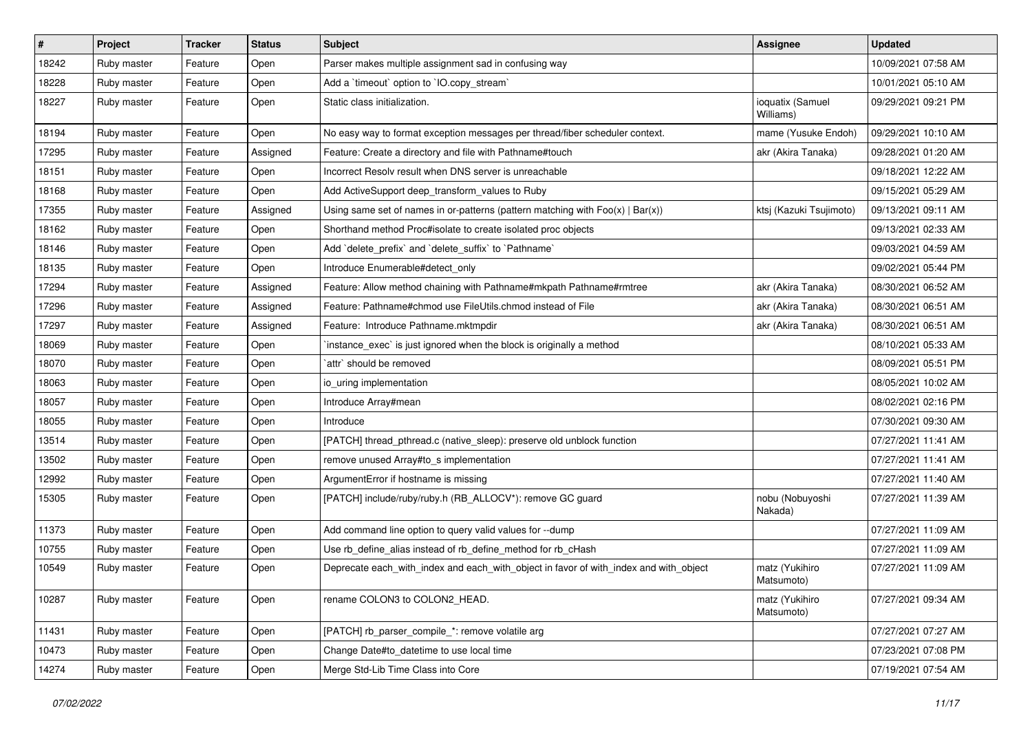| #     | Project     | <b>Tracker</b> | <b>Status</b> | <b>Subject</b>                                                                        | <b>Assignee</b>               | <b>Updated</b>      |
|-------|-------------|----------------|---------------|---------------------------------------------------------------------------------------|-------------------------------|---------------------|
| 18242 | Ruby master | Feature        | Open          | Parser makes multiple assignment sad in confusing way                                 |                               | 10/09/2021 07:58 AM |
| 18228 | Ruby master | Feature        | Open          | Add a 'timeout' option to 'IO.copy_stream'                                            |                               | 10/01/2021 05:10 AM |
| 18227 | Ruby master | Feature        | Open          | Static class initialization.                                                          | ioquatix (Samuel<br>Williams) | 09/29/2021 09:21 PM |
| 18194 | Ruby master | Feature        | Open          | No easy way to format exception messages per thread/fiber scheduler context.          | mame (Yusuke Endoh)           | 09/29/2021 10:10 AM |
| 17295 | Ruby master | Feature        | Assigned      | Feature: Create a directory and file with Pathname#touch                              | akr (Akira Tanaka)            | 09/28/2021 01:20 AM |
| 18151 | Ruby master | Feature        | Open          | Incorrect Resolv result when DNS server is unreachable                                |                               | 09/18/2021 12:22 AM |
| 18168 | Ruby master | Feature        | Open          | Add ActiveSupport deep_transform_values to Ruby                                       |                               | 09/15/2021 05:29 AM |
| 17355 | Ruby master | Feature        | Assigned      | Using same set of names in or-patterns (pattern matching with $Foo(x)   Bar(x)$ )     | ktsj (Kazuki Tsujimoto)       | 09/13/2021 09:11 AM |
| 18162 | Ruby master | Feature        | Open          | Shorthand method Proc#isolate to create isolated proc objects                         |                               | 09/13/2021 02:33 AM |
| 18146 | Ruby master | Feature        | Open          | Add `delete_prefix` and `delete_suffix` to `Pathname`                                 |                               | 09/03/2021 04:59 AM |
| 18135 | Ruby master | Feature        | Open          | Introduce Enumerable#detect only                                                      |                               | 09/02/2021 05:44 PM |
| 17294 | Ruby master | Feature        | Assigned      | Feature: Allow method chaining with Pathname#mkpath Pathname#rmtree                   | akr (Akira Tanaka)            | 08/30/2021 06:52 AM |
| 17296 | Ruby master | Feature        | Assigned      | Feature: Pathname#chmod use FileUtils.chmod instead of File                           | akr (Akira Tanaka)            | 08/30/2021 06:51 AM |
| 17297 | Ruby master | Feature        | Assigned      | Feature: Introduce Pathname.mktmpdir                                                  | akr (Akira Tanaka)            | 08/30/2021 06:51 AM |
| 18069 | Ruby master | Feature        | Open          | instance exec' is just ignored when the block is originally a method                  |                               | 08/10/2021 05:33 AM |
| 18070 | Ruby master | Feature        | Open          | `attr` should be removed                                                              |                               | 08/09/2021 05:51 PM |
| 18063 | Ruby master | Feature        | Open          | io uring implementation                                                               |                               | 08/05/2021 10:02 AM |
| 18057 | Ruby master | Feature        | Open          | Introduce Array#mean                                                                  |                               | 08/02/2021 02:16 PM |
| 18055 | Ruby master | Feature        | Open          | Introduce                                                                             |                               | 07/30/2021 09:30 AM |
| 13514 | Ruby master | Feature        | Open          | [PATCH] thread_pthread.c (native_sleep): preserve old unblock function                |                               | 07/27/2021 11:41 AM |
| 13502 | Ruby master | Feature        | Open          | remove unused Array#to_s implementation                                               |                               | 07/27/2021 11:41 AM |
| 12992 | Ruby master | Feature        | Open          | ArgumentError if hostname is missing                                                  |                               | 07/27/2021 11:40 AM |
| 15305 | Ruby master | Feature        | Open          | [PATCH] include/ruby/ruby.h (RB_ALLOCV*): remove GC guard                             | nobu (Nobuyoshi<br>Nakada)    | 07/27/2021 11:39 AM |
| 11373 | Ruby master | Feature        | Open          | Add command line option to query valid values for --dump                              |                               | 07/27/2021 11:09 AM |
| 10755 | Ruby master | Feature        | Open          | Use rb_define_alias instead of rb_define_method for rb_cHash                          |                               | 07/27/2021 11:09 AM |
| 10549 | Ruby master | Feature        | Open          | Deprecate each_with_index and each_with_object in favor of with_index and with_object | matz (Yukihiro<br>Matsumoto)  | 07/27/2021 11:09 AM |
| 10287 | Ruby master | Feature        | Open          | rename COLON3 to COLON2 HEAD.                                                         | matz (Yukihiro<br>Matsumoto)  | 07/27/2021 09:34 AM |
| 11431 | Ruby master | Feature        | Open          | [PATCH] rb_parser_compile_*: remove volatile arg                                      |                               | 07/27/2021 07:27 AM |
| 10473 | Ruby master | Feature        | Open          | Change Date#to datetime to use local time                                             |                               | 07/23/2021 07:08 PM |
| 14274 | Ruby master | Feature        | Open          | Merge Std-Lib Time Class into Core                                                    |                               | 07/19/2021 07:54 AM |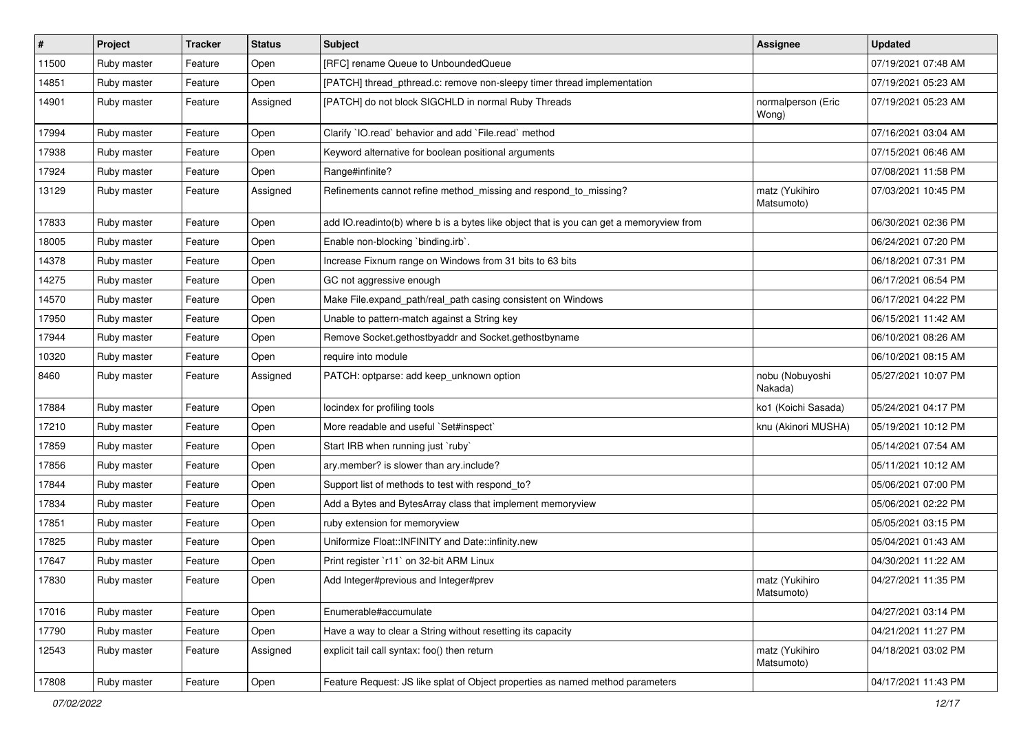| $\sharp$ | Project     | <b>Tracker</b> | <b>Status</b> | <b>Subject</b>                                                                          | <b>Assignee</b>              | <b>Updated</b>      |
|----------|-------------|----------------|---------------|-----------------------------------------------------------------------------------------|------------------------------|---------------------|
| 11500    | Ruby master | Feature        | Open          | [RFC] rename Queue to UnboundedQueue                                                    |                              | 07/19/2021 07:48 AM |
| 14851    | Ruby master | Feature        | Open          | [PATCH] thread_pthread.c: remove non-sleepy timer thread implementation                 |                              | 07/19/2021 05:23 AM |
| 14901    | Ruby master | Feature        | Assigned      | [PATCH] do not block SIGCHLD in normal Ruby Threads                                     | normalperson (Eric<br>Wong)  | 07/19/2021 05:23 AM |
| 17994    | Ruby master | Feature        | Open          | Clarify 'IO.read' behavior and add 'File.read' method                                   |                              | 07/16/2021 03:04 AM |
| 17938    | Ruby master | Feature        | Open          | Keyword alternative for boolean positional arguments                                    |                              | 07/15/2021 06:46 AM |
| 17924    | Ruby master | Feature        | Open          | Range#infinite?                                                                         |                              | 07/08/2021 11:58 PM |
| 13129    | Ruby master | Feature        | Assigned      | Refinements cannot refine method_missing and respond_to_missing?                        | matz (Yukihiro<br>Matsumoto) | 07/03/2021 10:45 PM |
| 17833    | Ruby master | Feature        | Open          | add IO.readinto(b) where b is a bytes like object that is you can get a memoryview from |                              | 06/30/2021 02:36 PM |
| 18005    | Ruby master | Feature        | Open          | Enable non-blocking 'binding.irb'.                                                      |                              | 06/24/2021 07:20 PM |
| 14378    | Ruby master | Feature        | Open          | Increase Fixnum range on Windows from 31 bits to 63 bits                                |                              | 06/18/2021 07:31 PM |
| 14275    | Ruby master | Feature        | Open          | GC not aggressive enough                                                                |                              | 06/17/2021 06:54 PM |
| 14570    | Ruby master | Feature        | Open          | Make File.expand_path/real_path casing consistent on Windows                            |                              | 06/17/2021 04:22 PM |
| 17950    | Ruby master | Feature        | Open          | Unable to pattern-match against a String key                                            |                              | 06/15/2021 11:42 AM |
| 17944    | Ruby master | Feature        | Open          | Remove Socket.gethostbyaddr and Socket.gethostbyname                                    |                              | 06/10/2021 08:26 AM |
| 10320    | Ruby master | Feature        | Open          | require into module                                                                     |                              | 06/10/2021 08:15 AM |
| 8460     | Ruby master | Feature        | Assigned      | PATCH: optparse: add keep_unknown option                                                | nobu (Nobuyoshi<br>Nakada)   | 05/27/2021 10:07 PM |
| 17884    | Ruby master | Feature        | Open          | locindex for profiling tools                                                            | ko1 (Koichi Sasada)          | 05/24/2021 04:17 PM |
| 17210    | Ruby master | Feature        | Open          | More readable and useful `Set#inspect`                                                  | knu (Akinori MUSHA)          | 05/19/2021 10:12 PM |
| 17859    | Ruby master | Feature        | Open          | Start IRB when running just `ruby`                                                      |                              | 05/14/2021 07:54 AM |
| 17856    | Ruby master | Feature        | Open          | ary.member? is slower than ary.include?                                                 |                              | 05/11/2021 10:12 AM |
| 17844    | Ruby master | Feature        | Open          | Support list of methods to test with respond_to?                                        |                              | 05/06/2021 07:00 PM |
| 17834    | Ruby master | Feature        | Open          | Add a Bytes and BytesArray class that implement memoryview                              |                              | 05/06/2021 02:22 PM |
| 17851    | Ruby master | Feature        | Open          | ruby extension for memoryview                                                           |                              | 05/05/2021 03:15 PM |
| 17825    | Ruby master | Feature        | Open          | Uniformize Float::INFINITY and Date::infinity.new                                       |                              | 05/04/2021 01:43 AM |
| 17647    | Ruby master | Feature        | Open          | Print register `r11` on 32-bit ARM Linux                                                |                              | 04/30/2021 11:22 AM |
| 17830    | Ruby master | Feature        | Open          | Add Integer#previous and Integer#prev                                                   | matz (Yukihiro<br>Matsumoto) | 04/27/2021 11:35 PM |
| 17016    | Ruby master | Feature        | Open          | Enumerable#accumulate                                                                   |                              | 04/27/2021 03:14 PM |
| 17790    | Ruby master | Feature        | Open          | Have a way to clear a String without resetting its capacity                             |                              | 04/21/2021 11:27 PM |
| 12543    | Ruby master | Feature        | Assigned      | explicit tail call syntax: foo() then return                                            | matz (Yukihiro<br>Matsumoto) | 04/18/2021 03:02 PM |
| 17808    | Ruby master | Feature        | Open          | Feature Request: JS like splat of Object properties as named method parameters          |                              | 04/17/2021 11:43 PM |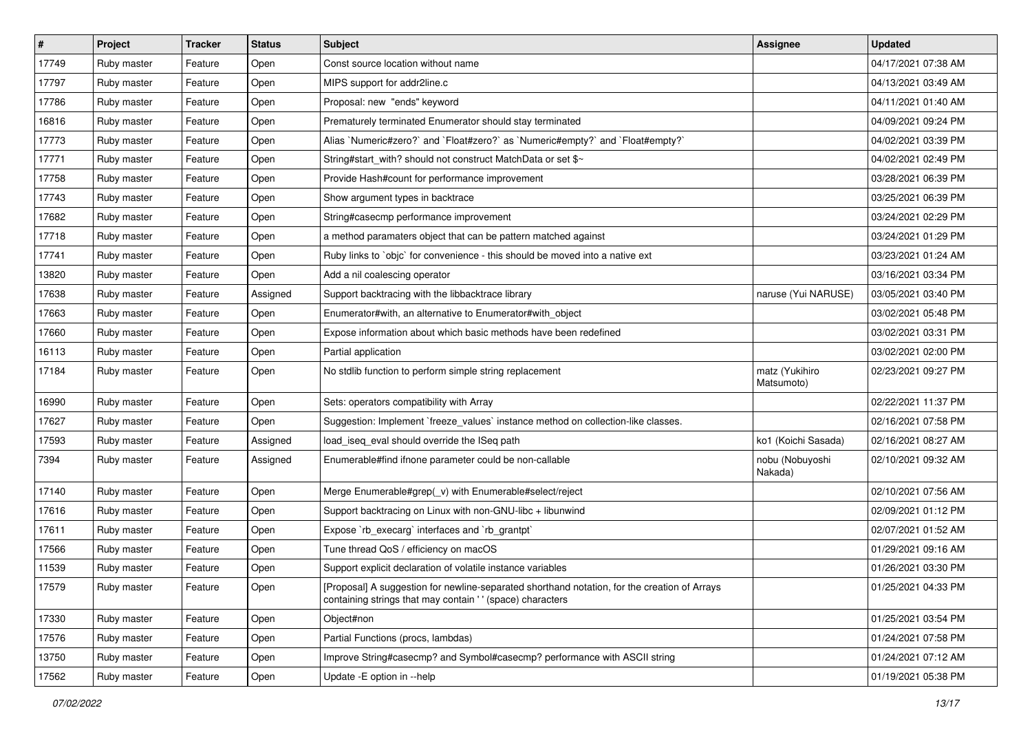| $\vert$ # | Project     | <b>Tracker</b> | <b>Status</b> | <b>Subject</b>                                                                                                                                            | <b>Assignee</b>              | <b>Updated</b>      |
|-----------|-------------|----------------|---------------|-----------------------------------------------------------------------------------------------------------------------------------------------------------|------------------------------|---------------------|
| 17749     | Ruby master | Feature        | Open          | Const source location without name                                                                                                                        |                              | 04/17/2021 07:38 AM |
| 17797     | Ruby master | Feature        | Open          | MIPS support for addr2line.c                                                                                                                              |                              | 04/13/2021 03:49 AM |
| 17786     | Ruby master | Feature        | Open          | Proposal: new "ends" keyword                                                                                                                              |                              | 04/11/2021 01:40 AM |
| 16816     | Ruby master | Feature        | Open          | Prematurely terminated Enumerator should stay terminated                                                                                                  |                              | 04/09/2021 09:24 PM |
| 17773     | Ruby master | Feature        | Open          | Alias `Numeric#zero?` and `Float#zero?` as `Numeric#empty?` and `Float#empty?`                                                                            |                              | 04/02/2021 03:39 PM |
| 17771     | Ruby master | Feature        | Open          | String#start_with? should not construct MatchData or set \$~                                                                                              |                              | 04/02/2021 02:49 PM |
| 17758     | Ruby master | Feature        | Open          | Provide Hash#count for performance improvement                                                                                                            |                              | 03/28/2021 06:39 PM |
| 17743     | Ruby master | Feature        | Open          | Show argument types in backtrace                                                                                                                          |                              | 03/25/2021 06:39 PM |
| 17682     | Ruby master | Feature        | Open          | String#casecmp performance improvement                                                                                                                    |                              | 03/24/2021 02:29 PM |
| 17718     | Ruby master | Feature        | Open          | a method paramaters object that can be pattern matched against                                                                                            |                              | 03/24/2021 01:29 PM |
| 17741     | Ruby master | Feature        | Open          | Ruby links to `objc` for convenience - this should be moved into a native ext                                                                             |                              | 03/23/2021 01:24 AM |
| 13820     | Ruby master | Feature        | Open          | Add a nil coalescing operator                                                                                                                             |                              | 03/16/2021 03:34 PM |
| 17638     | Ruby master | Feature        | Assigned      | Support backtracing with the libbacktrace library                                                                                                         | naruse (Yui NARUSE)          | 03/05/2021 03:40 PM |
| 17663     | Ruby master | Feature        | Open          | Enumerator#with, an alternative to Enumerator#with_object                                                                                                 |                              | 03/02/2021 05:48 PM |
| 17660     | Ruby master | Feature        | Open          | Expose information about which basic methods have been redefined                                                                                          |                              | 03/02/2021 03:31 PM |
| 16113     | Ruby master | Feature        | Open          | Partial application                                                                                                                                       |                              | 03/02/2021 02:00 PM |
| 17184     | Ruby master | Feature        | Open          | No stdlib function to perform simple string replacement                                                                                                   | matz (Yukihiro<br>Matsumoto) | 02/23/2021 09:27 PM |
| 16990     | Ruby master | Feature        | Open          | Sets: operators compatibility with Array                                                                                                                  |                              | 02/22/2021 11:37 PM |
| 17627     | Ruby master | Feature        | Open          | Suggestion: Implement `freeze_values` instance method on collection-like classes.                                                                         |                              | 02/16/2021 07:58 PM |
| 17593     | Ruby master | Feature        | Assigned      | load_iseq_eval should override the ISeq path                                                                                                              | ko1 (Koichi Sasada)          | 02/16/2021 08:27 AM |
| 7394      | Ruby master | Feature        | Assigned      | Enumerable#find ifnone parameter could be non-callable                                                                                                    | nobu (Nobuyoshi<br>Nakada)   | 02/10/2021 09:32 AM |
| 17140     | Ruby master | Feature        | Open          | Merge Enumerable#grep(_v) with Enumerable#select/reject                                                                                                   |                              | 02/10/2021 07:56 AM |
| 17616     | Ruby master | Feature        | Open          | Support backtracing on Linux with non-GNU-libc + libunwind                                                                                                |                              | 02/09/2021 01:12 PM |
| 17611     | Ruby master | Feature        | Open          | Expose `rb_execarg` interfaces and `rb_grantpt`                                                                                                           |                              | 02/07/2021 01:52 AM |
| 17566     | Ruby master | Feature        | Open          | Tune thread QoS / efficiency on macOS                                                                                                                     |                              | 01/29/2021 09:16 AM |
| 11539     | Ruby master | Feature        | Open          | Support explicit declaration of volatile instance variables                                                                                               |                              | 01/26/2021 03:30 PM |
| 17579     | Ruby master | Feature        | Open          | [Proposal] A suggestion for newline-separated shorthand notation, for the creation of Arrays<br>containing strings that may contain '' (space) characters |                              | 01/25/2021 04:33 PM |
| 17330     | Ruby master | Feature        | Open          | Object#non                                                                                                                                                |                              | 01/25/2021 03:54 PM |
| 17576     | Ruby master | Feature        | Open          | Partial Functions (procs, lambdas)                                                                                                                        |                              | 01/24/2021 07:58 PM |
| 13750     | Ruby master | Feature        | Open          | Improve String#casecmp? and Symbol#casecmp? performance with ASCII string                                                                                 |                              | 01/24/2021 07:12 AM |
| 17562     | Ruby master | Feature        | Open          | Update - E option in --help                                                                                                                               |                              | 01/19/2021 05:38 PM |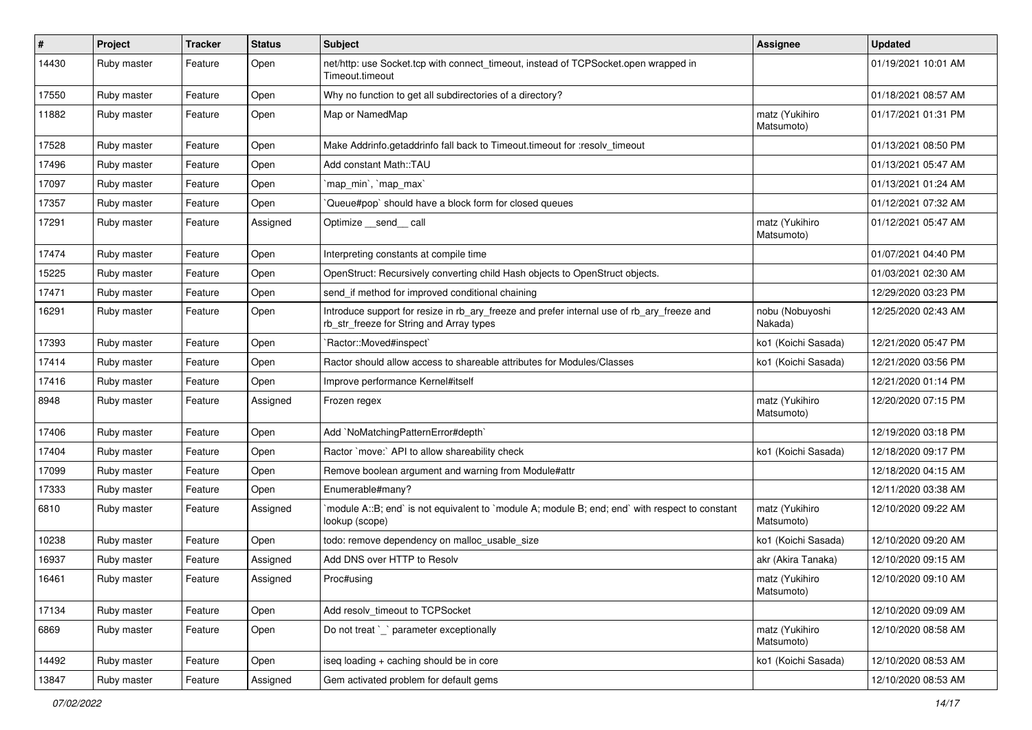| $\vert$ # | Project     | <b>Tracker</b> | <b>Status</b> | Subject                                                                                                                                | Assignee                     | <b>Updated</b>      |
|-----------|-------------|----------------|---------------|----------------------------------------------------------------------------------------------------------------------------------------|------------------------------|---------------------|
| 14430     | Ruby master | Feature        | Open          | net/http: use Socket.tcp with connect_timeout, instead of TCPSocket.open wrapped in<br>Timeout.timeout                                 |                              | 01/19/2021 10:01 AM |
| 17550     | Ruby master | Feature        | Open          | Why no function to get all subdirectories of a directory?                                                                              |                              | 01/18/2021 08:57 AM |
| 11882     | Ruby master | Feature        | Open          | Map or NamedMap                                                                                                                        | matz (Yukihiro<br>Matsumoto) | 01/17/2021 01:31 PM |
| 17528     | Ruby master | Feature        | Open          | Make Addrinfo.getaddrinfo fall back to Timeout.timeout for :resolv timeout                                                             |                              | 01/13/2021 08:50 PM |
| 17496     | Ruby master | Feature        | Open          | Add constant Math::TAU                                                                                                                 |                              | 01/13/2021 05:47 AM |
| 17097     | Ruby master | Feature        | Open          | 'map min', 'map max'                                                                                                                   |                              | 01/13/2021 01:24 AM |
| 17357     | Ruby master | Feature        | Open          | Queue#pop`should have a block form for closed queues                                                                                   |                              | 01/12/2021 07:32 AM |
| 17291     | Ruby master | Feature        | Assigned      | Optimize __send__ call                                                                                                                 | matz (Yukihiro<br>Matsumoto) | 01/12/2021 05:47 AM |
| 17474     | Ruby master | Feature        | Open          | Interpreting constants at compile time                                                                                                 |                              | 01/07/2021 04:40 PM |
| 15225     | Ruby master | Feature        | Open          | OpenStruct: Recursively converting child Hash objects to OpenStruct objects.                                                           |                              | 01/03/2021 02:30 AM |
| 17471     | Ruby master | Feature        | Open          | send_if method for improved conditional chaining                                                                                       |                              | 12/29/2020 03:23 PM |
| 16291     | Ruby master | Feature        | Open          | Introduce support for resize in rb_ary_freeze and prefer internal use of rb_ary_freeze and<br>rb str freeze for String and Array types | nobu (Nobuyoshi<br>Nakada)   | 12/25/2020 02:43 AM |
| 17393     | Ruby master | Feature        | Open          | `Ractor::Moved#inspect`                                                                                                                | ko1 (Koichi Sasada)          | 12/21/2020 05:47 PM |
| 17414     | Ruby master | Feature        | Open          | Ractor should allow access to shareable attributes for Modules/Classes                                                                 | ko1 (Koichi Sasada)          | 12/21/2020 03:56 PM |
| 17416     | Ruby master | Feature        | Open          | Improve performance Kernel#itself                                                                                                      |                              | 12/21/2020 01:14 PM |
| 8948      | Ruby master | Feature        | Assigned      | Frozen regex                                                                                                                           | matz (Yukihiro<br>Matsumoto) | 12/20/2020 07:15 PM |
| 17406     | Ruby master | Feature        | Open          | Add `NoMatchingPatternError#depth`                                                                                                     |                              | 12/19/2020 03:18 PM |
| 17404     | Ruby master | Feature        | Open          | Ractor `move:` API to allow shareability check                                                                                         | ko1 (Koichi Sasada)          | 12/18/2020 09:17 PM |
| 17099     | Ruby master | Feature        | Open          | Remove boolean argument and warning from Module#attr                                                                                   |                              | 12/18/2020 04:15 AM |
| 17333     | Ruby master | Feature        | Open          | Enumerable#many?                                                                                                                       |                              | 12/11/2020 03:38 AM |
| 6810      | Ruby master | Feature        | Assigned      | module A::B; end` is not equivalent to `module A; module B; end; end` with respect to constant<br>lookup (scope)                       | matz (Yukihiro<br>Matsumoto) | 12/10/2020 09:22 AM |
| 10238     | Ruby master | Feature        | Open          | todo: remove dependency on malloc_usable_size                                                                                          | ko1 (Koichi Sasada)          | 12/10/2020 09:20 AM |
| 16937     | Ruby master | Feature        | Assigned      | Add DNS over HTTP to Resolv                                                                                                            | akr (Akira Tanaka)           | 12/10/2020 09:15 AM |
| 16461     | Ruby master | Feature        | Assigned      | Proc#using                                                                                                                             | matz (Yukihiro<br>Matsumoto) | 12/10/2020 09:10 AM |
| 17134     | Ruby master | Feature        | Open          | Add resolv_timeout to TCPSocket                                                                                                        |                              | 12/10/2020 09:09 AM |
| 6869      | Ruby master | Feature        | Open          | Do not treat `_` parameter exceptionally                                                                                               | matz (Yukihiro<br>Matsumoto) | 12/10/2020 08:58 AM |
| 14492     | Ruby master | Feature        | Open          | iseq loading + caching should be in core                                                                                               | ko1 (Koichi Sasada)          | 12/10/2020 08:53 AM |
| 13847     | Ruby master | Feature        | Assigned      | Gem activated problem for default gems                                                                                                 |                              | 12/10/2020 08:53 AM |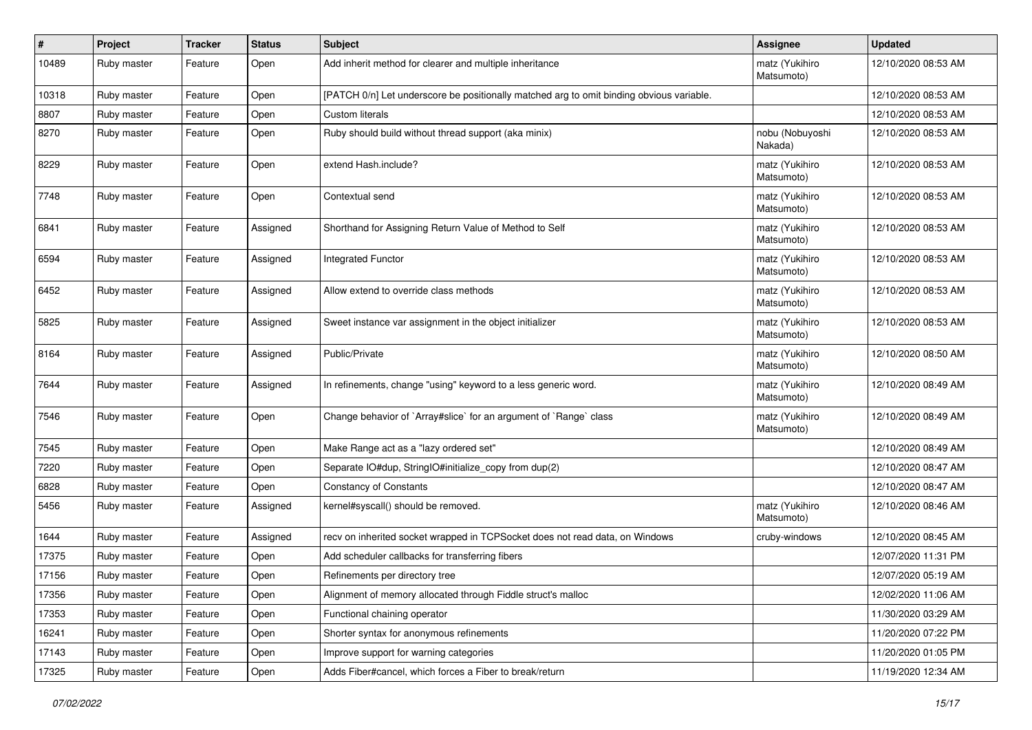| #     | Project     | <b>Tracker</b> | <b>Status</b> | <b>Subject</b>                                                                           | <b>Assignee</b>              | <b>Updated</b>      |
|-------|-------------|----------------|---------------|------------------------------------------------------------------------------------------|------------------------------|---------------------|
| 10489 | Ruby master | Feature        | Open          | Add inherit method for clearer and multiple inheritance                                  | matz (Yukihiro<br>Matsumoto) | 12/10/2020 08:53 AM |
| 10318 | Ruby master | Feature        | Open          | [PATCH 0/n] Let underscore be positionally matched arg to omit binding obvious variable. |                              | 12/10/2020 08:53 AM |
| 8807  | Ruby master | Feature        | Open          | <b>Custom literals</b>                                                                   |                              | 12/10/2020 08:53 AM |
| 8270  | Ruby master | Feature        | Open          | Ruby should build without thread support (aka minix)                                     | nobu (Nobuyoshi<br>Nakada)   | 12/10/2020 08:53 AM |
| 8229  | Ruby master | Feature        | Open          | extend Hash.include?                                                                     | matz (Yukihiro<br>Matsumoto) | 12/10/2020 08:53 AM |
| 7748  | Ruby master | Feature        | Open          | Contextual send                                                                          | matz (Yukihiro<br>Matsumoto) | 12/10/2020 08:53 AM |
| 6841  | Ruby master | Feature        | Assigned      | Shorthand for Assigning Return Value of Method to Self                                   | matz (Yukihiro<br>Matsumoto) | 12/10/2020 08:53 AM |
| 6594  | Ruby master | Feature        | Assigned      | <b>Integrated Functor</b>                                                                | matz (Yukihiro<br>Matsumoto) | 12/10/2020 08:53 AM |
| 6452  | Ruby master | Feature        | Assigned      | Allow extend to override class methods                                                   | matz (Yukihiro<br>Matsumoto) | 12/10/2020 08:53 AM |
| 5825  | Ruby master | Feature        | Assigned      | Sweet instance var assignment in the object initializer                                  | matz (Yukihiro<br>Matsumoto) | 12/10/2020 08:53 AM |
| 8164  | Ruby master | Feature        | Assigned      | Public/Private                                                                           | matz (Yukihiro<br>Matsumoto) | 12/10/2020 08:50 AM |
| 7644  | Ruby master | Feature        | Assigned      | In refinements, change "using" keyword to a less generic word.                           | matz (Yukihiro<br>Matsumoto) | 12/10/2020 08:49 AM |
| 7546  | Ruby master | Feature        | Open          | Change behavior of `Array#slice` for an argument of `Range` class                        | matz (Yukihiro<br>Matsumoto) | 12/10/2020 08:49 AM |
| 7545  | Ruby master | Feature        | Open          | Make Range act as a "lazy ordered set"                                                   |                              | 12/10/2020 08:49 AM |
| 7220  | Ruby master | Feature        | Open          | Separate IO#dup, StringIO#initialize_copy from dup(2)                                    |                              | 12/10/2020 08:47 AM |
| 6828  | Ruby master | Feature        | Open          | <b>Constancy of Constants</b>                                                            |                              | 12/10/2020 08:47 AM |
| 5456  | Ruby master | Feature        | Assigned      | kernel#syscall() should be removed.                                                      | matz (Yukihiro<br>Matsumoto) | 12/10/2020 08:46 AM |
| 1644  | Ruby master | Feature        | Assigned      | recv on inherited socket wrapped in TCPSocket does not read data, on Windows             | cruby-windows                | 12/10/2020 08:45 AM |
| 17375 | Ruby master | Feature        | Open          | Add scheduler callbacks for transferring fibers                                          |                              | 12/07/2020 11:31 PM |
| 17156 | Ruby master | Feature        | Open          | Refinements per directory tree                                                           |                              | 12/07/2020 05:19 AM |
| 17356 | Ruby master | Feature        | Open          | Alignment of memory allocated through Fiddle struct's malloc                             |                              | 12/02/2020 11:06 AM |
| 17353 | Ruby master | Feature        | Open          | Functional chaining operator                                                             |                              | 11/30/2020 03:29 AM |
| 16241 | Ruby master | Feature        | Open          | Shorter syntax for anonymous refinements                                                 |                              | 11/20/2020 07:22 PM |
| 17143 | Ruby master | Feature        | Open          | Improve support for warning categories                                                   |                              | 11/20/2020 01:05 PM |
| 17325 | Ruby master | Feature        | Open          | Adds Fiber#cancel, which forces a Fiber to break/return                                  |                              | 11/19/2020 12:34 AM |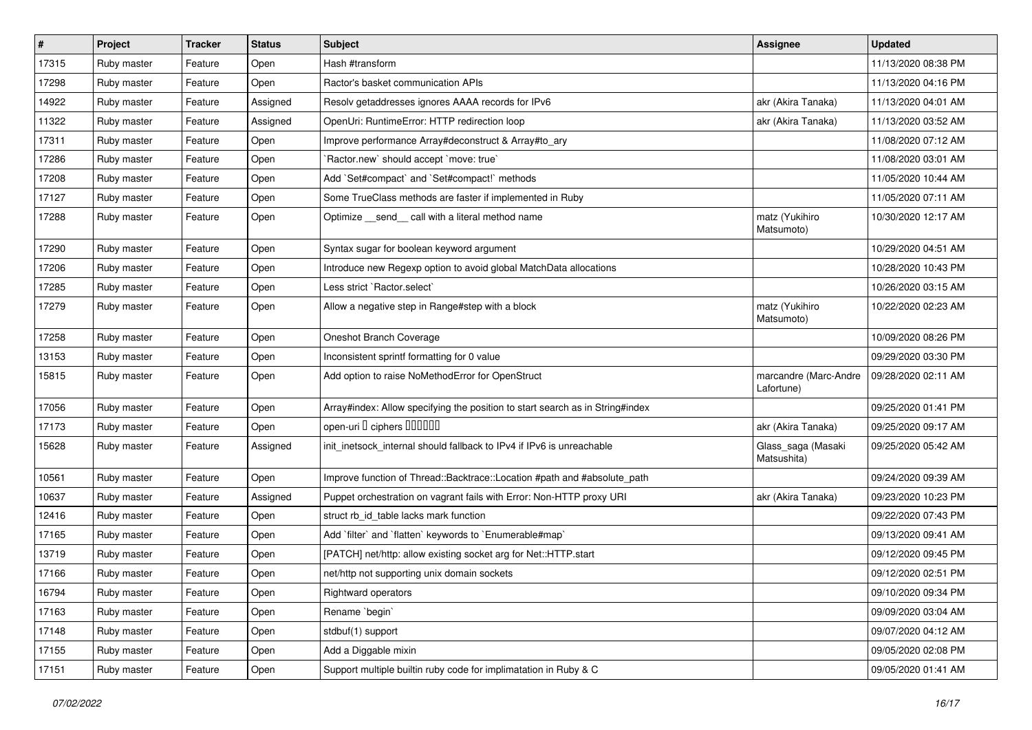| $\vert$ # | Project     | <b>Tracker</b> | <b>Status</b> | Subject                                                                       | Assignee                            | <b>Updated</b>      |
|-----------|-------------|----------------|---------------|-------------------------------------------------------------------------------|-------------------------------------|---------------------|
| 17315     | Ruby master | Feature        | Open          | Hash #transform                                                               |                                     | 11/13/2020 08:38 PM |
| 17298     | Ruby master | Feature        | Open          | Ractor's basket communication APIs                                            |                                     | 11/13/2020 04:16 PM |
| 14922     | Ruby master | Feature        | Assigned      | Resolv getaddresses ignores AAAA records for IPv6                             | akr (Akira Tanaka)                  | 11/13/2020 04:01 AM |
| 11322     | Ruby master | Feature        | Assigned      | OpenUri: RuntimeError: HTTP redirection loop                                  | akr (Akira Tanaka)                  | 11/13/2020 03:52 AM |
| 17311     | Ruby master | Feature        | Open          | Improve performance Array#deconstruct & Array#to_ary                          |                                     | 11/08/2020 07:12 AM |
| 17286     | Ruby master | Feature        | Open          | 'Ractor.new' should accept 'move: true'                                       |                                     | 11/08/2020 03:01 AM |
| 17208     | Ruby master | Feature        | Open          | Add `Set#compact` and `Set#compact!` methods                                  |                                     | 11/05/2020 10:44 AM |
| 17127     | Ruby master | Feature        | Open          | Some TrueClass methods are faster if implemented in Ruby                      |                                     | 11/05/2020 07:11 AM |
| 17288     | Ruby master | Feature        | Open          | Optimize _send_call with a literal method name                                | matz (Yukihiro<br>Matsumoto)        | 10/30/2020 12:17 AM |
| 17290     | Ruby master | Feature        | Open          | Syntax sugar for boolean keyword argument                                     |                                     | 10/29/2020 04:51 AM |
| 17206     | Ruby master | Feature        | Open          | Introduce new Regexp option to avoid global MatchData allocations             |                                     | 10/28/2020 10:43 PM |
| 17285     | Ruby master | Feature        | Open          | Less strict `Ractor.select`                                                   |                                     | 10/26/2020 03:15 AM |
| 17279     | Ruby master | Feature        | Open          | Allow a negative step in Range#step with a block                              | matz (Yukihiro<br>Matsumoto)        | 10/22/2020 02:23 AM |
| 17258     | Ruby master | Feature        | Open          | Oneshot Branch Coverage                                                       |                                     | 10/09/2020 08:26 PM |
| 13153     | Ruby master | Feature        | Open          | Inconsistent sprintf formatting for 0 value                                   |                                     | 09/29/2020 03:30 PM |
| 15815     | Ruby master | Feature        | Open          | Add option to raise NoMethodError for OpenStruct                              | marcandre (Marc-Andre<br>Lafortune) | 09/28/2020 02:11 AM |
| 17056     | Ruby master | Feature        | Open          | Array#index: Allow specifying the position to start search as in String#index |                                     | 09/25/2020 01:41 PM |
| 17173     | Ruby master | Feature        | Open          | open-uri I ciphers IIIIIII                                                    | akr (Akira Tanaka)                  | 09/25/2020 09:17 AM |
| 15628     | Ruby master | Feature        | Assigned      | init_inetsock_internal should fallback to IPv4 if IPv6 is unreachable         | Glass_saga (Masaki<br>Matsushita)   | 09/25/2020 05:42 AM |
| 10561     | Ruby master | Feature        | Open          | Improve function of Thread::Backtrace::Location #path and #absolute_path      |                                     | 09/24/2020 09:39 AM |
| 10637     | Ruby master | Feature        | Assigned      | Puppet orchestration on vagrant fails with Error: Non-HTTP proxy URI          | akr (Akira Tanaka)                  | 09/23/2020 10:23 PM |
| 12416     | Ruby master | Feature        | Open          | struct rb id table lacks mark function                                        |                                     | 09/22/2020 07:43 PM |
| 17165     | Ruby master | Feature        | Open          | Add `filter` and `flatten` keywords to `Enumerable#map`                       |                                     | 09/13/2020 09:41 AM |
| 13719     | Ruby master | Feature        | Open          | [PATCH] net/http: allow existing socket arg for Net::HTTP.start               |                                     | 09/12/2020 09:45 PM |
| 17166     | Ruby master | Feature        | Open          | net/http not supporting unix domain sockets                                   |                                     | 09/12/2020 02:51 PM |
| 16794     | Ruby master | Feature        | Open          | Rightward operators                                                           |                                     | 09/10/2020 09:34 PM |
| 17163     | Ruby master | Feature        | Open          | Rename `begin`                                                                |                                     | 09/09/2020 03:04 AM |
| 17148     | Ruby master | Feature        | Open          | stdbuf(1) support                                                             |                                     | 09/07/2020 04:12 AM |
| 17155     | Ruby master | Feature        | Open          | Add a Diggable mixin                                                          |                                     | 09/05/2020 02:08 PM |
| 17151     | Ruby master | Feature        | Open          | Support multiple builtin ruby code for implimatation in Ruby & C              |                                     | 09/05/2020 01:41 AM |